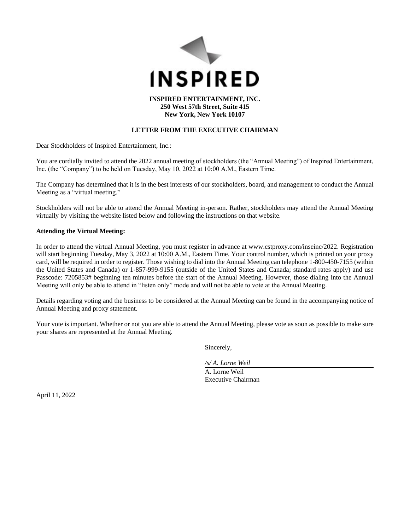

# **LETTER FROM THE EXECUTIVE CHAIRMAN**

Dear Stockholders of Inspired Entertainment, Inc.:

You are cordially invited to attend the 2022 annual meeting of stockholders (the "Annual Meeting") of Inspired Entertainment, Inc. (the "Company") to be held on Tuesday, May 10, 2022 at 10:00 A.M., Eastern Time.

The Company has determined that it is in the best interests of our stockholders, board, and management to conduct the Annual Meeting as a "virtual meeting."

Stockholders will not be able to attend the Annual Meeting in-person. Rather, stockholders may attend the Annual Meeting virtually by visiting the website listed below and following the instructions on that website.

# **Attending the Virtual Meeting:**

In order to attend the virtual Annual Meeting, you must register in advance at www.cstproxy.com/inseinc/2022. Registration will start beginning Tuesday, May 3, 2022 at 10:00 A.M., Eastern Time. Your control number, which is printed on your proxy card, will be required in order to register. Those wishing to dial into the Annual Meeting can telephone 1-800-450-7155 (within the United States and Canada) or 1-857-999-9155 (outside of the United States and Canada; standard rates apply) and use Passcode: 7205853# beginning ten minutes before the start of the Annual Meeting. However, those dialing into the Annual Meeting will only be able to attend in "listen only" mode and will not be able to vote at the Annual Meeting.

Details regarding voting and the business to be considered at the Annual Meeting can be found in the accompanying notice of Annual Meeting and proxy statement.

Your vote is important. Whether or not you are able to attend the Annual Meeting, please vote as soon as possible to make sure your shares are represented at the Annual Meeting.

Sincerely,

*/s/ A. Lorne Weil*

A. Lorne Weil Executive Chairman

April 11, 2022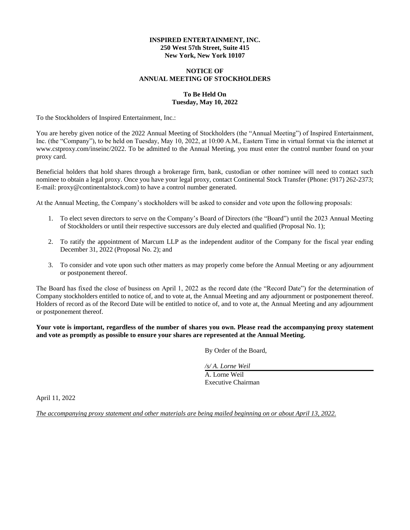# **INSPIRED ENTERTAINMENT, INC. 250 West 57th Street, Suite 415 New York, New York 10107**

# **NOTICE OF ANNUAL MEETING OF STOCKHOLDERS**

# **To Be Held On Tuesday, May 10, 2022**

To the Stockholders of Inspired Entertainment, Inc.:

You are hereby given notice of the 2022 Annual Meeting of Stockholders (the "Annual Meeting") of Inspired Entertainment, Inc. (the "Company"), to be held on Tuesday, May 10, 2022, at 10:00 A.M., Eastern Time in virtual format via the internet at www.cstproxy.com/inseinc/2022. To be admitted to the Annual Meeting, you must enter the control number found on your proxy card.

Beneficial holders that hold shares through a brokerage firm, bank, custodian or other nominee will need to contact such nominee to obtain a legal proxy. Once you have your legal proxy, contact Continental Stock Transfer (Phone: (917) 262-2373; E-mail: proxy@continentalstock.com) to have a control number generated.

At the Annual Meeting, the Company's stockholders will be asked to consider and vote upon the following proposals:

- 1. To elect seven directors to serve on the Company's Board of Directors (the "Board") until the 2023 Annual Meeting of Stockholders or until their respective successors are duly elected and qualified (Proposal No. 1);
- 2. To ratify the appointment of Marcum LLP as the independent auditor of the Company for the fiscal year ending December 31, 2022 (Proposal No. 2); and
- 3. To consider and vote upon such other matters as may properly come before the Annual Meeting or any adjournment or postponement thereof.

The Board has fixed the close of business on April 1, 2022 as the record date (the "Record Date") for the determination of Company stockholders entitled to notice of, and to vote at, the Annual Meeting and any adjournment or postponement thereof. Holders of record as of the Record Date will be entitled to notice of, and to vote at, the Annual Meeting and any adjournment or postponement thereof.

**Your vote is important, regardless of the number of shares you own. Please read the accompanying proxy statement and vote as promptly as possible to ensure your shares are represented at the Annual Meeting.**

By Order of the Board,

*/s/ A. Lorne Weil*

A. Lorne Weil Executive Chairman

April 11, 2022

*The accompanying proxy statement and other materials are being mailed beginning on or about April 13, 2022.*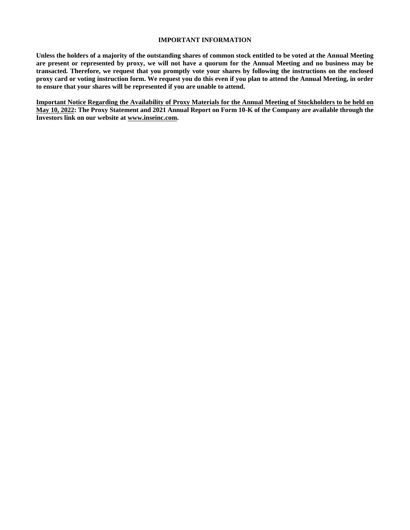#### **IMPORTANT INFORMATION**

**Unless the holders of a majority of the outstanding shares of common stock entitled to be voted at the Annual Meeting are present or represented by proxy, we will not have a quorum for the Annual Meeting and no business may be transacted. Therefore, we request that you promptly vote your shares by following the instructions on the enclosed proxy card or voting instruction form. We request you do this even if you plan to attend the Annual Meeting, in order to ensure that your shares will be represented if you are unable to attend.**

**Important Notice Regarding the Availability of Proxy Materials for the Annual Meeting of Stockholders to be held on May 10, 2022: The Proxy Statement and 2021 Annual Report on Form 10-K of the Company are available through the Investors link on our website at www.inseinc.com.**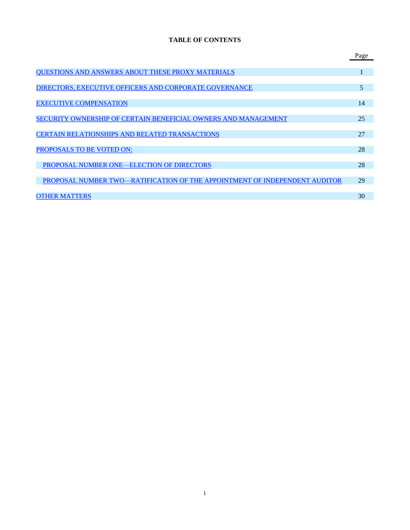# **TABLE OF CONTENTS**

|                                                                            | Page |
|----------------------------------------------------------------------------|------|
|                                                                            |      |
| QUESTIONS AND ANSWERS ABOUT THESE PROXY MATERIALS                          |      |
|                                                                            |      |
| DIRECTORS, EXECUTIVE OFFICERS AND CORPORATE GOVERNANCE                     | 5    |
|                                                                            |      |
| <b>EXECUTIVE COMPENSATION</b>                                              | 14   |
|                                                                            |      |
| SECURITY OWNERSHIP OF CERTAIN BENEFICIAL OWNERS AND MANAGEMENT             | 25   |
|                                                                            |      |
| <b>CERTAIN RELATIONSHIPS AND RELATED TRANSACTIONS</b>                      | 27   |
|                                                                            |      |
| <b>PROPOSALS TO BE VOTED ON:</b>                                           | 28   |
|                                                                            |      |
| <b>PROPOSAL NUMBER ONE—ELECTION OF DIRECTORS</b>                           | 28   |
| PROPOSAL NUMBER TWO—RATIFICATION OF THE APPOINTMENT OF INDEPENDENT AUDITOR | 29   |
|                                                                            |      |
| <b>OTHER MATTERS</b>                                                       | 30   |
|                                                                            |      |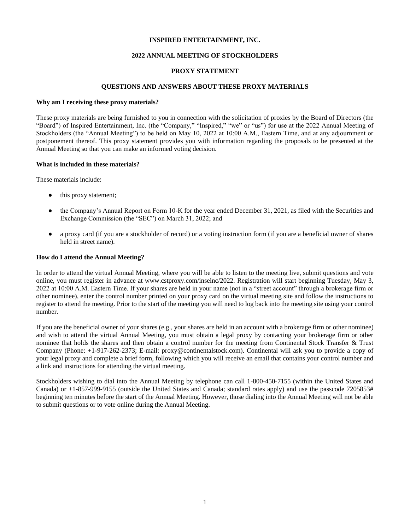#### **INSPIRED ENTERTAINMENT, INC.**

# **2022 ANNUAL MEETING OF STOCKHOLDERS**

### **PROXY STATEMENT**

# **QUESTIONS AND ANSWERS ABOUT THESE PROXY MATERIALS**

#### **Why am I receiving these proxy materials?**

These proxy materials are being furnished to you in connection with the solicitation of proxies by the Board of Directors (the "Board") of Inspired Entertainment, Inc. (the "Company," "Inspired," "we" or "us") for use at the 2022 Annual Meeting of Stockholders (the "Annual Meeting") to be held on May 10, 2022 at 10:00 A.M., Eastern Time, and at any adjournment or postponement thereof. This proxy statement provides you with information regarding the proposals to be presented at the Annual Meeting so that you can make an informed voting decision.

#### **What is included in these materials?**

These materials include:

- this proxy statement;
- the Company's Annual Report on Form 10-K for the year ended December 31, 2021, as filed with the Securities and Exchange Commission (the "SEC") on March 31, 2022; and
- a proxy card (if you are a stockholder of record) or a voting instruction form (if you are a beneficial owner of shares held in street name).

# **How do I attend the Annual Meeting?**

In order to attend the virtual Annual Meeting, where you will be able to listen to the meeting live, submit questions and vote online, you must register in advance at www.cstproxy.com/inseinc/2022. Registration will start beginning Tuesday, May 3, 2022 at 10:00 A.M. Eastern Time. If your shares are held in your name (not in a "street account" through a brokerage firm or other nominee), enter the control number printed on your proxy card on the virtual meeting site and follow the instructions to register to attend the meeting. Prior to the start of the meeting you will need to log back into the meeting site using your control number.

If you are the beneficial owner of your shares (e.g., your shares are held in an account with a brokerage firm or other nominee) and wish to attend the virtual Annual Meeting, you must obtain a legal proxy by contacting your brokerage firm or other nominee that holds the shares and then obtain a control number for the meeting from Continental Stock Transfer & Trust Company (Phone: +1-917-262-2373; E-mail: proxy@continentalstock.com). Continental will ask you to provide a copy of your legal proxy and complete a brief form, following which you will receive an email that contains your control number and a link and instructions for attending the virtual meeting.

Stockholders wishing to dial into the Annual Meeting by telephone can call 1-800-450-7155 (within the United States and Canada) or +1-857-999-9155 (outside the United States and Canada; standard rates apply) and use the passcode 7205853# beginning ten minutes before the start of the Annual Meeting. However, those dialing into the Annual Meeting will not be able to submit questions or to vote online during the Annual Meeting.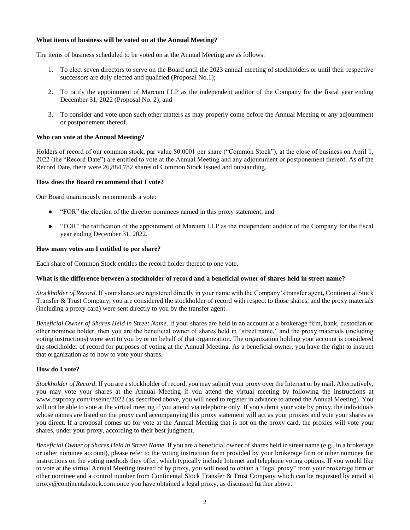### **What items of business will be voted on at the Annual Meeting?**

The items of business scheduled to be voted on at the Annual Meeting are as follows:

- 1. To elect seven directors to serve on the Board until the 2023 annual meeting of stockholders or until their respective successors are duly elected and qualified (Proposal No.1);
- 2. To ratify the appointment of Marcum LLP as the independent auditor of the Company for the fiscal year ending December 31, 2022 (Proposal No. 2); and
- 3. To consider and vote upon such other matters as may properly come before the Annual Meeting or any adjournment or postponement thereof.

# **Who can vote at the Annual Meeting?**

Holders of record of our common stock, par value \$0.0001 per share ("Common Stock"), at the close of business on April 1, 2022 (the "Record Date") are entitled to vote at the Annual Meeting and any adjournment or postponement thereof. As of the Record Date, there were 26,884,782 shares of Common Stock issued and outstanding.

#### **How does the Board recommend that I vote?**

Our Board unanimously recommends a vote:

- "FOR" the election of the director nominees named in this proxy statement; and
- "FOR" the ratification of the appointment of Marcum LLP as the independent auditor of the Company for the fiscal year ending December 31, 2022.

# **How many votes am I entitled to per share?**

Each share of Common Stock entitles the record holder thereof to one vote.

#### **What is the difference between a stockholder of record and a beneficial owner of shares held in street name?**

*Stockholder of Record*. If your shares are registered directly in your name with the Company's transfer agent, Continental Stock Transfer & Trust Company, you are considered the stockholder of record with respect to those shares, and the proxy materials (including a proxy card) were sent directly to you by the transfer agent.

*Beneficial Owner of Shares Held in Street Name*. If your shares are held in an account at a brokerage firm, bank, custodian or other nominee holder, then you are the beneficial owner of shares held in "street name," and the proxy materials (including voting instructions) were sent to you by or on behalf of that organization. The organization holding your account is considered the stockholder of record for purposes of voting at the Annual Meeting. As a beneficial owner, you have the right to instruct that organization as to how to vote your shares.

# **How do I vote?**

*Stockholder of Record*. If you are a stockholder of record, you may submit your proxy over the Internet or by mail. Alternatively, you may vote your shares at the Annual Meeting if you attend the virtual meeting by following the instructions at www.cstproxy.com/inseinc/2022 (as described above, you will need to register in advance to attend the Annual Meeting). You will not be able to vote at the virtual meeting if you attend via telephone only. If you submit your vote by proxy, the individuals whose names are listed on the proxy card accompanying this proxy statement will act as your proxies and vote your shares as you direct. If a proposal comes up for vote at the Annual Meeting that is not on the proxy card, the proxies will vote your shares, under your proxy, according to their best judgment.

*Beneficial Owner of Shares Held in Street Name*. If you are a beneficial owner of shares held in street name (e.g., in a brokerage or other nominee account), please refer to the voting instruction form provided by your brokerage firm or other nominee for instructions on the voting methods they offer, which typically include Internet and telephone voting options. If you would like to vote at the virtual Annual Meeting instead of by proxy, you will need to obtain a "legal proxy" from your brokerage firm or other nominee and a control number from Continental Stock Transfer & Trust Company which can be requested by email at proxy@continentalstock.com once you have obtained a legal proxy, as discussed further above.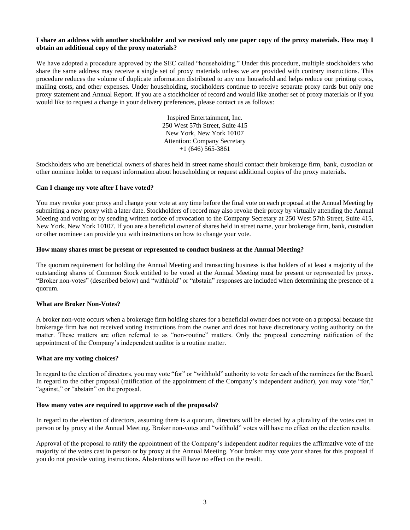# **I share an address with another stockholder and we received only one paper copy of the proxy materials. How may I obtain an additional copy of the proxy materials?**

We have adopted a procedure approved by the SEC called "householding." Under this procedure, multiple stockholders who share the same address may receive a single set of proxy materials unless we are provided with contrary instructions. This procedure reduces the volume of duplicate information distributed to any one household and helps reduce our printing costs, mailing costs, and other expenses. Under householding, stockholders continue to receive separate proxy cards but only one proxy statement and Annual Report. If you are a stockholder of record and would like another set of proxy materials or if you would like to request a change in your delivery preferences, please contact us as follows:

> Inspired Entertainment, Inc. 250 West 57th Street, Suite 415 New York, New York 10107 Attention: Company Secretary +1 (646) 565-3861

Stockholders who are beneficial owners of shares held in street name should contact their brokerage firm, bank, custodian or other nominee holder to request information about householding or request additional copies of the proxy materials.

# **Can I change my vote after I have voted?**

You may revoke your proxy and change your vote at any time before the final vote on each proposal at the Annual Meeting by submitting a new proxy with a later date. Stockholders of record may also revoke their proxy by virtually attending the Annual Meeting and voting or by sending written notice of revocation to the Company Secretary at 250 West 57th Street, Suite 415, New York, New York 10107. If you are a beneficial owner of shares held in street name, your brokerage firm, bank, custodian or other nominee can provide you with instructions on how to change your vote.

### **How many shares must be present or represented to conduct business at the Annual Meeting?**

The quorum requirement for holding the Annual Meeting and transacting business is that holders of at least a majority of the outstanding shares of Common Stock entitled to be voted at the Annual Meeting must be present or represented by proxy. "Broker non-votes" (described below) and "withhold" or "abstain" responses are included when determining the presence of a quorum.

# **What are Broker Non-Votes?**

A broker non-vote occurs when a brokerage firm holding shares for a beneficial owner does not vote on a proposal because the brokerage firm has not received voting instructions from the owner and does not have discretionary voting authority on the matter. These matters are often referred to as "non-routine" matters. Only the proposal concerning ratification of the appointment of the Company's independent auditor is a routine matter.

#### **What are my voting choices?**

In regard to the election of directors, you may vote "for" or "withhold" authority to vote for each of the nominees for the Board. In regard to the other proposal (ratification of the appointment of the Company's independent auditor), you may vote "for," "against," or "abstain" on the proposal.

### **How many votes are required to approve each of the proposals?**

In regard to the election of directors, assuming there is a quorum, directors will be elected by a plurality of the votes cast in person or by proxy at the Annual Meeting. Broker non-votes and "withhold" votes will have no effect on the election results.

Approval of the proposal to ratify the appointment of the Company's independent auditor requires the affirmative vote of the majority of the votes cast in person or by proxy at the Annual Meeting. Your broker may vote your shares for this proposal if you do not provide voting instructions. Abstentions will have no effect on the result.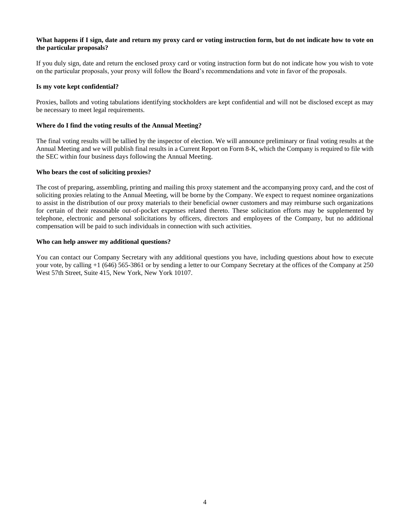### What happens if I sign, date and return my proxy card or voting instruction form, but do not indicate how to vote on **the particular proposals?**

If you duly sign, date and return the enclosed proxy card or voting instruction form but do not indicate how you wish to vote on the particular proposals, your proxy will follow the Board's recommendations and vote in favor of the proposals.

# **Is my vote kept confidential?**

Proxies, ballots and voting tabulations identifying stockholders are kept confidential and will not be disclosed except as may be necessary to meet legal requirements.

# **Where do I find the voting results of the Annual Meeting?**

The final voting results will be tallied by the inspector of election. We will announce preliminary or final voting results at the Annual Meeting and we will publish final results in a Current Report on Form 8-K, which the Company is required to file with the SEC within four business days following the Annual Meeting.

#### **Who bears the cost of soliciting proxies?**

The cost of preparing, assembling, printing and mailing this proxy statement and the accompanying proxy card, and the cost of soliciting proxies relating to the Annual Meeting, will be borne by the Company. We expect to request nominee organizations to assist in the distribution of our proxy materials to their beneficial owner customers and may reimburse such organizations for certain of their reasonable out-of-pocket expenses related thereto. These solicitation efforts may be supplemented by telephone, electronic and personal solicitations by officers, directors and employees of the Company, but no additional compensation will be paid to such individuals in connection with such activities.

# **Who can help answer my additional questions?**

You can contact our Company Secretary with any additional questions you have, including questions about how to execute your vote, by calling +1 (646) 565-3861 or by sending a letter to our Company Secretary at the offices of the Company at 250 West 57th Street, Suite 415, New York, New York 10107.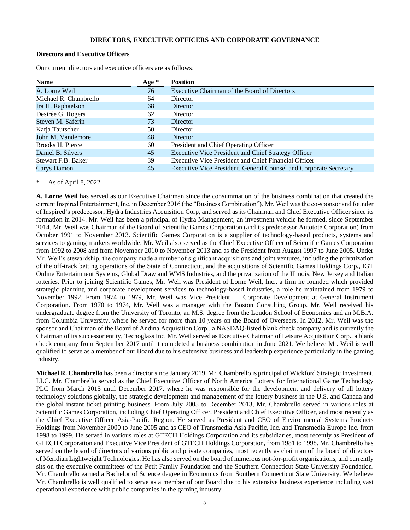#### **DIRECTORS, EXECUTIVE OFFICERS AND CORPORATE GOVERNANCE**

#### **Directors and Executive Officers**

Our current directors and executive officers are as follows:

| <b>Name</b>           | Age * | <b>Position</b>                                                   |
|-----------------------|-------|-------------------------------------------------------------------|
| A. Lorne Weil         | 76    | Executive Chairman of the Board of Directors                      |
| Michael R. Chambrello | 64    | Director                                                          |
| Ira H. Raphaelson     | 68    | Director                                                          |
| Desirée G. Rogers     | 62    | Director                                                          |
| Steven M. Saferin     | 73    | Director                                                          |
| Katja Tautscher       | 50    | Director                                                          |
| John M. Vandemore     | 48    | Director                                                          |
| Brooks H. Pierce      | 60    | President and Chief Operating Officer                             |
| Daniel B. Silvers     | 45    | <b>Executive Vice President and Chief Strategy Officer</b>        |
| Stewart F.B. Baker    | 39    | Executive Vice President and Chief Financial Officer              |
| Carys Damon           | 45    | Executive Vice President, General Counsel and Corporate Secretary |

As of April 8, 2022

**A. Lorne Weil** has served as our Executive Chairman since the consummation of the business combination that created the current Inspired Entertainment, Inc. in December 2016 (the "Business Combination"). Mr. Weil was the co-sponsor and founder of Inspired's predecessor, Hydra Industries Acquisition Corp, and served as its Chairman and Chief Executive Officer since its formation in 2014. Mr. Weil has been a principal of Hydra Management, an investment vehicle he formed, since September 2014. Mr. Weil was Chairman of the Board of Scientific Games Corporation (and its predecessor Autotote Corporation) from October 1991 to November 2013. Scientific Games Corporation is a supplier of technology-based products, systems and services to gaming markets worldwide. Mr. Weil also served as the Chief Executive Officer of Scientific Games Corporation from 1992 to 2008 and from November 2010 to November 2013 and as the President from August 1997 to June 2005. Under Mr. Weil's stewardship, the company made a number of significant acquisitions and joint ventures, including the privatization of the off-track betting operations of the State of Connecticut, and the acquisitions of Scientific Games Holdings Corp., IGT Online Entertainment Systems, Global Draw and WMS Industries, and the privatization of the Illinois, New Jersey and Italian lotteries. Prior to joining Scientific Games, Mr. Weil was President of Lorne Weil, Inc., a firm he founded which provided strategic planning and corporate development services to technology-based industries, a role he maintained from 1979 to November 1992. From 1974 to 1979, Mr. Weil was Vice President — Corporate Development at General Instrument Corporation. From 1970 to 1974, Mr. Weil was a manager with the Boston Consulting Group. Mr. Weil received his undergraduate degree from the University of Toronto, an M.S. degree from the London School of Economics and an M.B.A. from Columbia University, where he served for more than 10 years on the Board of Overseers. In 2012, Mr. Weil was the sponsor and Chairman of the Board of Andina Acquisition Corp., a NASDAQ-listed blank check company and is currently the Chairman of its successor entity, Tecnoglass Inc. Mr. Weil served as Executive Chairman of Leisure Acquisition Corp., a blank check company from September 2017 until it completed a business combination in June 2021. We believe Mr. Weil is well qualified to serve as a member of our Board due to his extensive business and leadership experience particularly in the gaming industry.

**Michael R. Chambrello** has been a director since January 2019. Mr. Chambrello is principal of Wickford Strategic Investment, LLC. Mr. Chambrello served as the Chief Executive Officer of North America Lottery for International Game Technology PLC from March 2015 until December 2017, where he was responsible for the development and delivery of all lottery technology solutions globally, the strategic development and management of the lottery business in the U.S. and Canada and the global instant ticket printing business. From July 2005 to December 2013, Mr. Chambrello served in various roles at Scientific Games Corporation, including Chief Operating Officer, President and Chief Executive Officer, and most recently as the Chief Executive Officer–Asia-Pacific Region. He served as President and CEO of Environmental Systems Products Holdings from November 2000 to June 2005 and as CEO of Transmedia Asia Pacific, Inc. and Transmedia Europe Inc. from 1998 to 1999. He served in various roles at GTECH Holdings Corporation and its subsidiaries, most recently as President of GTECH Corporation and Executive Vice President of GTECH Holdings Corporation, from 1981 to 1998. Mr. Chambrello has served on the board of directors of various public and private companies, most recently as chairman of the board of directors of Meridian Lightweight Technologies. He has also served on the board of numerous not-for-profit organizations, and currently sits on the executive committees of the Petit Family Foundation and the Southern Connecticut State University Foundation. Mr. Chambrello earned a Bachelor of Science degree in Economics from Southern Connecticut State University. We believe Mr. Chambrello is well qualified to serve as a member of our Board due to his extensive business experience including vast operational experience with public companies in the gaming industry.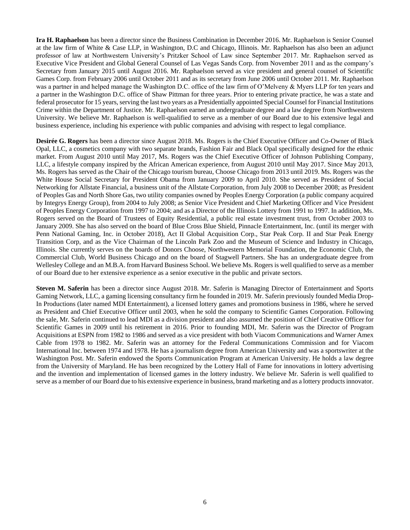**Ira H. Raphaelson** has been a director since the Business Combination in December 2016. Mr. Raphaelson is Senior Counsel at the law firm of White & Case LLP, in Washington, D.C and Chicago, Illinois. Mr. Raphaelson has also been an adjunct professor of law at Northwestern University's Pritzker School of Law since September 2017. Mr. Raphaelson served as Executive Vice President and Global General Counsel of Las Vegas Sands Corp. from November 2011 and as the company's Secretary from January 2015 until August 2016. Mr. Raphaelson served as vice president and general counsel of Scientific Games Corp. from February 2006 until October 2011 and as its secretary from June 2006 until October 2011. Mr. Raphaelson was a partner in and helped manage the Washington D.C. office of the law firm of O'Melveny & Myers LLP for ten years and a partner in the Washington D.C. office of Shaw Pittman for three years. Prior to entering private practice, he was a state and federal prosecutor for 15 years, serving the last two years as a Presidentially appointed Special Counsel for Financial Institutions Crime within the Department of Justice. Mr. Raphaelson earned an undergraduate degree and a law degree from Northwestern University. We believe Mr. Raphaelson is well-qualified to serve as a member of our Board due to his extensive legal and business experience, including his experience with public companies and advising with respect to legal compliance.

**Desirée G. Rogers** has been a director since August 2018. Ms. Rogers is the Chief Executive Officer and Co-Owner of Black Opal, LLC, a cosmetics company with two separate brands, Fashion Fair and Black Opal specifically designed for the ethnic market. From August 2010 until May 2017, Ms. Rogers was the Chief Executive Officer of Johnson Publishing Company, LLC, a lifestyle company inspired by the African American experience, from August 2010 until May 2017. Since May 2013, Ms. Rogers has served as the Chair of the Chicago tourism bureau, Choose Chicago from 2013 until 2019. Ms. Rogers was the White House Social Secretary for President Obama from January 2009 to April 2010. She served as President of Social Networking for Allstate Financial, a business unit of the Allstate Corporation, from July 2008 to December 2008; as President of Peoples Gas and North Shore Gas, two utility companies owned by Peoples Energy Corporation (a public company acquired by Integrys Energy Group), from 2004 to July 2008; as Senior Vice President and Chief Marketing Officer and Vice President of Peoples Energy Corporation from 1997 to 2004; and as a Director of the Illinois Lottery from 1991 to 1997. In addition, Ms. Rogers served on the Board of Trustees of Equity Residential, a public real estate investment trust, from October 2003 to January 2009. She has also served on the board of Blue Cross Blue Shield, Pinnacle Entertainment, Inc. (until its merger with Penn National Gaming, Inc. in October 2018), Act II Global Acquisition Corp., Star Peak Corp. II and Star Peak Energy Transition Corp, and as the Vice Chairman of the Lincoln Park Zoo and the Museum of Science and Industry in Chicago, Illinois. She currently serves on the boards of Donors Choose, Northwestern Memorial Foundation, the Economic Club, the Commercial Club, World Business Chicago and on the board of Stagwell Partners. She has an undergraduate degree from Wellesley College and an M.B.A. from Harvard Business School. We believe Ms. Rogers is well qualified to serve as a member of our Board due to her extensive experience as a senior executive in the public and private sectors.

**Steven M. Saferin** has been a director since August 2018. Mr. Saferin is Managing Director of Entertainment and Sports Gaming Network, LLC, a gaming licensing consultancy firm he founded in 2019. Mr. Saferin previously founded Media Drop-In Productions (later named MDI Entertainment), a licensed lottery games and promotions business in 1986, where he served as President and Chief Executive Officer until 2003, when he sold the company to Scientific Games Corporation. Following the sale, Mr. Saferin continued to lead MDI as a division president and also assumed the position of Chief Creative Officer for Scientific Games in 2009 until his retirement in 2016. Prior to founding MDI, Mr. Saferin was the Director of Program Acquisitions at ESPN from 1982 to 1986 and served as a vice president with both Viacom Communications and Warner Amex Cable from 1978 to 1982. Mr. Saferin was an attorney for the Federal Communications Commission and for Viacom International Inc. between 1974 and 1978. He has a journalism degree from American University and was a sportswriter at the Washington Post. Mr. Saferin endowed the Sports Communication Program at American University. He holds a law degree from the University of Maryland. He has been recognized by the Lottery Hall of Fame for innovations in lottery advertising and the invention and implementation of licensed games in the lottery industry. We believe Mr. Saferin is well qualified to serve as a member of our Board due to his extensive experience in business, brand marketing and as a lottery products innovator.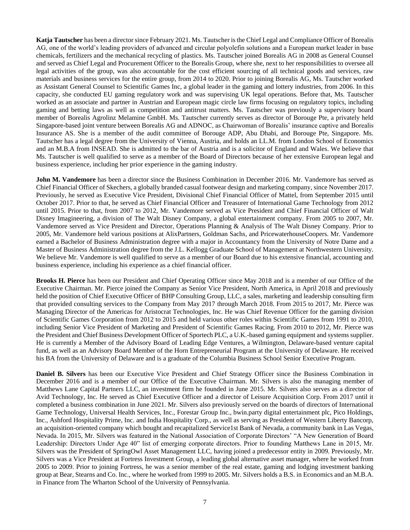**Katja Tautscher** has been a director since February 2021. Ms. Tautscher is the Chief Legal and Compliance Officer of Borealis AG, one of the world's leading providers of advanced and circular polyolefin solutions and a European market leader in base chemicals, fertilizers and the mechanical recycling of plastics. Ms. Tautscher joined Borealis AG in 2008 as General Counsel and served as Chief Legal and Procurement Officer to the Borealis Group, where she, next to her responsibilities to oversee all legal activities of the group, was also accountable for the cost efficient sourcing of all technical goods and services, raw materials and business services for the entire group, from 2014 to 2020. Prior to joining Borealis AG, Ms. Tautscher worked as Assistant General Counsel to Scientific Games Inc, a global leader in the gaming and lottery industries, from 2006. In this capacity, she conducted EU gaming regulatory work and was supervising UK legal operations. Before that, Ms. Tautscher worked as an associate and partner in Austrian and European magic circle law firms focusing on regulatory topics, including gaming and betting laws as well as competition and antitrust matters. Ms. Tautscher was previously a supervisory board member of Borealis Agrolinz Melamine GmbH. Ms. Tautscher currently serves as director of Borouge Pte, a privately held Singapore-based joint venture between Borealis AG and ADNOC, as Chairwoman of Borealis' insurance captive and Borealis Insurance AS. She is a member of the audit committee of Borouge ADP, Abu Dhabi, and Borouge Pte, Singapore. Ms. Tautscher has a legal degree from the University of Vienna, Austria, and holds an LL.M. from London School of Economics and an M.B.A from INSEAD. She is admitted to the bar of Austria and is a solicitor of England and Wales. We believe that Ms. Tautscher is well qualified to serve as a member of the Board of Directors because of her extensive European legal and business experience, including her prior experience in the gaming industry.

**John M. Vandemore** has been a director since the Business Combination in December 2016. Mr. Vandemore has served as Chief Financial Officer of Skechers, a globally branded casual footwear design and marketing company, since November 2017. Previously, he served as Executive Vice President, Divisional Chief Financial Officer of Mattel, from September 2015 until October 2017. Prior to that, he served as Chief Financial Officer and Treasurer of International Game Technology from 2012 until 2015. Prior to that, from 2007 to 2012, Mr. Vandemore served as Vice President and Chief Financial Officer of Walt Disney Imagineering, a division of The Walt Disney Company, a global entertainment company. From 2005 to 2007, Mr. Vandemore served as Vice President and Director, Operations Planning & Analysis of The Walt Disney Company. Prior to 2005, Mr. Vandemore held various positions at AlixPartners, Goldman Sachs, and PricewaterhouseCoopers. Mr. Vandemore earned a Bachelor of Business Administration degree with a major in Accountancy from the University of Notre Dame and a Master of Business Administration degree from the J.L. Kellogg Graduate School of Management at Northwestern University. We believe Mr. Vandemore is well qualified to serve as a member of our Board due to his extensive financial, accounting and business experience, including his experience as a chief financial officer.

**Brooks H. Pierce** has been our President and Chief Operating Officer since May 2018 and is a member of our Office of the Executive Chairman. Mr. Pierce joined the Company as Senior Vice President, North America, in April 2018 and previously held the position of Chief Executive Officer of BHP Consulting Group, LLC, a sales, marketing and leadership consulting firm that provided consulting services to the Company from May 2017 through March 2018. From 2015 to 2017, Mr. Pierce was Managing Director of the Americas for Aristocrat Technologies, Inc. He was Chief Revenue Officer for the gaming division of Scientific Games Corporation from 2012 to 2015 and held various other roles within Scientific Games from 1991 to 2010, including Senior Vice President of Marketing and President of Scientific Games Racing. From 2010 to 2012, Mr. Pierce was the President and Chief Business Development Officer of Sportech PLC, a U.K.-based gaming equipment and systems supplier. He is currently a Member of the Advisory Board of Leading Edge Ventures, a Wilmington, Delaware-based venture capital fund, as well as an Advisory Board Member of the Horn Entrepreneurial Program at the University of Delaware. He received his BA from the University of Delaware and is a graduate of the Columbia Business School Senior Executive Program.

**Daniel B. Silvers** has been our Executive Vice President and Chief Strategy Officer since the Business Combination in December 2016 and is a member of our Office of the Executive Chairman. Mr. Silvers is also the managing member of Matthews Lane Capital Partners LLC, an investment firm he founded in June 2015. Mr. Silvers also serves as a director of Avid Technology, Inc. He served as Chief Executive Officer and a director of Leisure Acquisition Corp. From 2017 until it completed a business combination in June 2021. Mr. Silvers also previously served on the boards of directors of International Game Technology, Universal Health Services, Inc., Forestar Group Inc., bwin.party digital entertainment plc, Pico Holdings, Inc., Ashford Hospitality Prime, Inc. and India Hospitality Corp., as well as serving as President of Western Liberty Bancorp, an acquisition-oriented company which bought and recapitalized Service1st Bank of Nevada, a community bank in Las Vegas, Nevada. In 2015, Mr. Silvers was featured in the National Association of Corporate Directors' "A New Generation of Board Leadership: Directors Under Age 40" list of emerging corporate directors. Prior to founding Matthews Lane in 2015, Mr. Silvers was the President of SpringOwl Asset Management LLC, having joined a predecessor entity in 2009. Previously, Mr. Silvers was a Vice President at Fortress Investment Group, a leading global alternative asset manager, where he worked from 2005 to 2009. Prior to joining Fortress, he was a senior member of the real estate, gaming and lodging investment banking group at Bear, Stearns and Co. Inc., where he worked from 1999 to 2005. Mr. Silvers holds a B.S. in Economics and an M.B.A. in Finance from The Wharton School of the University of Pennsylvania.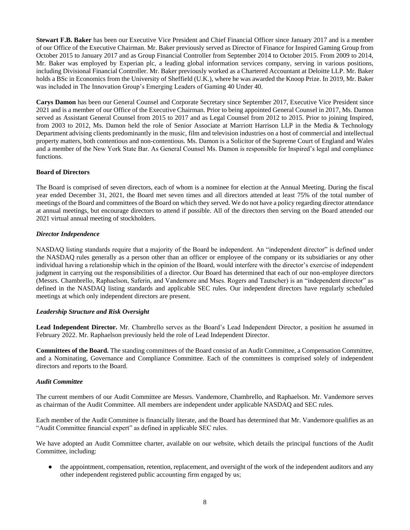**Stewart F.B. Baker** has been our Executive Vice President and Chief Financial Officer since January 2017 and is a member of our Office of the Executive Chairman. Mr. Baker previously served as Director of Finance for Inspired Gaming Group from October 2015 to January 2017 and as Group Financial Controller from September 2014 to October 2015. From 2009 to 2014, Mr. Baker was employed by Experian plc, a leading global information services company, serving in various positions, including Divisional Financial Controller. Mr. Baker previously worked as a Chartered Accountant at Deloitte LLP. Mr. Baker holds a BSc in Economics from the University of Sheffield (U.K.), where he was awarded the Knoop Prize. In 2019, Mr. Baker was included in The Innovation Group's Emerging Leaders of Gaming 40 Under 40.

**Carys Damon** has been our General Counsel and Corporate Secretary since September 2017, Executive Vice President since 2021 and is a member of our Office of the Executive Chairman. Prior to being appointed General Counsel in 2017, Ms. Damon served as Assistant General Counsel from 2015 to 2017 and as Legal Counsel from 2012 to 2015. Prior to joining Inspired, from 2003 to 2012, Ms. Damon held the role of Senior Associate at Marriott Harrison LLP in the Media & Technology Department advising clients predominantly in the music, film and television industries on a host of commercial and intellectual property matters, both contentious and non-contentious. Ms. Damon is a Solicitor of the Supreme Court of England and Wales and a member of the New York State Bar. As General Counsel Ms. Damon is responsible for Inspired's legal and compliance functions.

# **Board of Directors**

The Board is comprised of seven directors, each of whom is a nominee for election at the Annual Meeting. During the fiscal year ended December 31, 2021, the Board met seven times and all directors attended at least 75% of the total number of meetings of the Board and committees of the Board on which they served. We do not have a policy regarding director attendance at annual meetings, but encourage directors to attend if possible. All of the directors then serving on the Board attended our 2021 virtual annual meeting of stockholders.

# *Director Independence*

NASDAQ listing standards require that a majority of the Board be independent. An "independent director" is defined under the NASDAQ rules generally as a person other than an officer or employee of the company or its subsidiaries or any other individual having a relationship which in the opinion of the Board, would interfere with the director's exercise of independent judgment in carrying out the responsibilities of a director. Our Board has determined that each of our non-employee directors (Messrs. Chambrello, Raphaelson, Saferin, and Vandemore and Mses. Rogers and Tautscher) is an "independent director" as defined in the NASDAQ listing standards and applicable SEC rules. Our independent directors have regularly scheduled meetings at which only independent directors are present.

#### *Leadership Structure and Risk Oversight*

**Lead Independent Director.** Mr. Chambrello serves as the Board's Lead Independent Director, a position he assumed in February 2022. Mr. Raphaelson previously held the role of Lead Independent Director.

**Committees of the Board.** The standing committees of the Board consist of an Audit Committee, a Compensation Committee, and a Nominating, Governance and Compliance Committee. Each of the committees is comprised solely of independent directors and reports to the Board.

#### *Audit Committee*

The current members of our Audit Committee are Messrs. Vandemore, Chambrello, and Raphaelson. Mr. Vandemore serves as chairman of the Audit Committee. All members are independent under applicable NASDAQ and SEC rules.

Each member of the Audit Committee is financially literate, and the Board has determined that Mr. Vandemore qualifies as an "Audit Committee financial expert" as defined in applicable SEC rules.

We have adopted an Audit Committee charter, available on our website, which details the principal functions of the Audit Committee, including:

the appointment, compensation, retention, replacement, and oversight of the work of the independent auditors and any other independent registered public accounting firm engaged by us;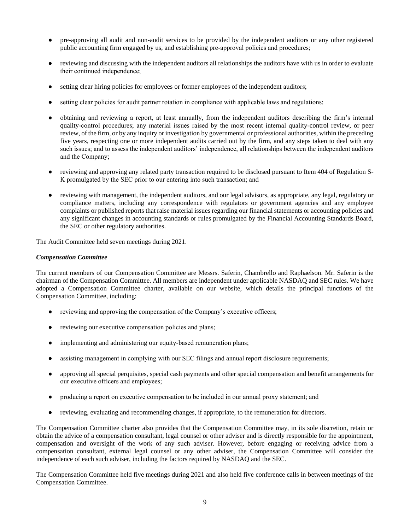- pre-approving all audit and non-audit services to be provided by the independent auditors or any other registered public accounting firm engaged by us, and establishing pre-approval policies and procedures;
- reviewing and discussing with the independent auditors all relationships the auditors have with us in order to evaluate their continued independence;
- setting clear hiring policies for employees or former employees of the independent auditors;
- setting clear policies for audit partner rotation in compliance with applicable laws and regulations;
- obtaining and reviewing a report, at least annually, from the independent auditors describing the firm's internal quality-control procedures; any material issues raised by the most recent internal quality-control review, or peer review, of the firm, or by any inquiry or investigation by governmental or professional authorities, within the preceding five years, respecting one or more independent audits carried out by the firm, and any steps taken to deal with any such issues; and to assess the independent auditors' independence, all relationships between the independent auditors and the Company;
- reviewing and approving any related party transaction required to be disclosed pursuant to Item 404 of Regulation S-K promulgated by the SEC prior to our entering into such transaction; and
- reviewing with management, the independent auditors, and our legal advisors, as appropriate, any legal, regulatory or compliance matters, including any correspondence with regulators or government agencies and any employee complaints or published reports that raise material issues regarding our financial statements or accounting policies and any significant changes in accounting standards or rules promulgated by the Financial Accounting Standards Board, the SEC or other regulatory authorities.

The Audit Committee held seven meetings during 2021.

#### *Compensation Committee*

The current members of our Compensation Committee are Messrs. Saferin, Chambrello and Raphaelson. Mr. Saferin is the chairman of the Compensation Committee. All members are independent under applicable NASDAQ and SEC rules. We have adopted a Compensation Committee charter, available on our website, which details the principal functions of the Compensation Committee, including:

- reviewing and approving the compensation of the Company's executive officers;
- reviewing our executive compensation policies and plans;
- implementing and administering our equity-based remuneration plans;
- assisting management in complying with our SEC filings and annual report disclosure requirements;
- approving all special perquisites, special cash payments and other special compensation and benefit arrangements for our executive officers and employees;
- producing a report on executive compensation to be included in our annual proxy statement; and
- reviewing, evaluating and recommending changes, if appropriate, to the remuneration for directors.

The Compensation Committee charter also provides that the Compensation Committee may, in its sole discretion, retain or obtain the advice of a compensation consultant, legal counsel or other adviser and is directly responsible for the appointment, compensation and oversight of the work of any such adviser. However, before engaging or receiving advice from a compensation consultant, external legal counsel or any other adviser, the Compensation Committee will consider the independence of each such adviser, including the factors required by NASDAQ and the SEC.

The Compensation Committee held five meetings during 2021 and also held five conference calls in between meetings of the Compensation Committee.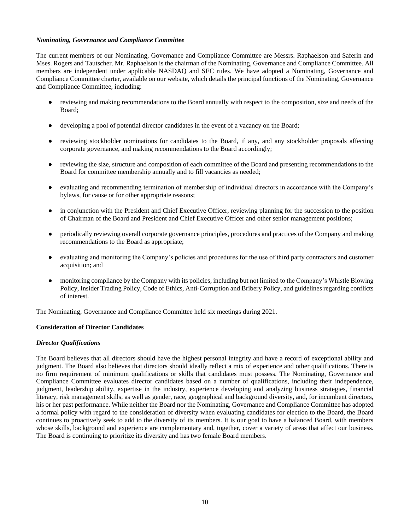### *Nominating, Governance and Compliance Committee*

The current members of our Nominating, Governance and Compliance Committee are Messrs. Raphaelson and Saferin and Mses. Rogers and Tautscher. Mr. Raphaelson is the chairman of the Nominating, Governance and Compliance Committee. All members are independent under applicable NASDAQ and SEC rules. We have adopted a Nominating, Governance and Compliance Committee charter, available on our website, which details the principal functions of the Nominating, Governance and Compliance Committee, including:

- reviewing and making recommendations to the Board annually with respect to the composition, size and needs of the Board;
- developing a pool of potential director candidates in the event of a vacancy on the Board;
- reviewing stockholder nominations for candidates to the Board, if any, and any stockholder proposals affecting corporate governance, and making recommendations to the Board accordingly;
- reviewing the size, structure and composition of each committee of the Board and presenting recommendations to the Board for committee membership annually and to fill vacancies as needed;
- evaluating and recommending termination of membership of individual directors in accordance with the Company's bylaws, for cause or for other appropriate reasons;
- in conjunction with the President and Chief Executive Officer, reviewing planning for the succession to the position of Chairman of the Board and President and Chief Executive Officer and other senior management positions;
- periodically reviewing overall corporate governance principles, procedures and practices of the Company and making recommendations to the Board as appropriate;
- evaluating and monitoring the Company's policies and procedures for the use of third party contractors and customer acquisition; and
- monitoring compliance by the Company with its policies, including but not limited to the Company's Whistle Blowing Policy, Insider Trading Policy, Code of Ethics, Anti-Corruption and Bribery Policy, and guidelines regarding conflicts of interest.

The Nominating, Governance and Compliance Committee held six meetings during 2021.

# **Consideration of Director Candidates**

# *Director Qualifications*

The Board believes that all directors should have the highest personal integrity and have a record of exceptional ability and judgment. The Board also believes that directors should ideally reflect a mix of experience and other qualifications. There is no firm requirement of minimum qualifications or skills that candidates must possess. The Nominating, Governance and Compliance Committee evaluates director candidates based on a number of qualifications, including their independence, judgment, leadership ability, expertise in the industry, experience developing and analyzing business strategies, financial literacy, risk management skills, as well as gender, race, geographical and background diversity, and, for incumbent directors, his or her past performance. While neither the Board nor the Nominating, Governance and Compliance Committee has adopted a formal policy with regard to the consideration of diversity when evaluating candidates for election to the Board, the Board continues to proactively seek to add to the diversity of its members. It is our goal to have a balanced Board, with members whose skills, background and experience are complementary and, together, cover a variety of areas that affect our business. The Board is continuing to prioritize its diversity and has two female Board members.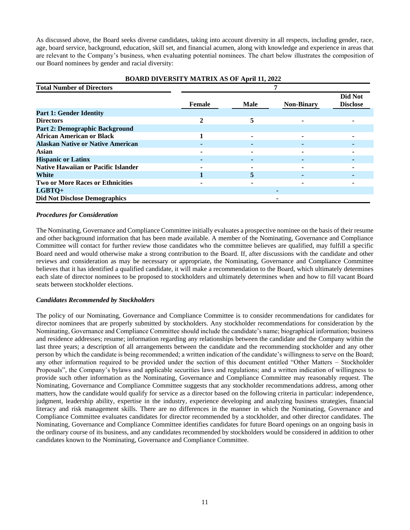As discussed above, the Board seeks diverse candidates, taking into account diversity in all respects, including gender, race, age, board service, background, education, skill set, and financial acumen, along with knowledge and experience in areas that are relevant to the Company's business, when evaluating potential nominees. The chart below illustrates the composition of our Board nominees by gender and racial diversity:

| <b>Total Number of Directors</b>           |                       |             |                   |                            |
|--------------------------------------------|-----------------------|-------------|-------------------|----------------------------|
|                                            | Female                | <b>Male</b> | <b>Non-Binary</b> | Did Not<br><b>Disclose</b> |
| <b>Part 1: Gender Identity</b>             |                       |             |                   |                            |
| <b>Directors</b>                           | $\mathcal{D}_{\cdot}$ | 5           |                   |                            |
| <b>Part 2: Demographic Background</b>      |                       |             |                   |                            |
| <b>African American or Black</b>           |                       |             |                   |                            |
| <b>Alaskan Native or Native American</b>   |                       |             |                   |                            |
| Asian                                      |                       |             |                   |                            |
| <b>Hispanic or Latinx</b>                  |                       |             |                   |                            |
| <b>Native Hawaiian or Pacific Islander</b> |                       |             |                   |                            |
| White                                      |                       | 5           |                   |                            |
| <b>Two or More Races or Ethnicities</b>    |                       |             |                   |                            |
| LGBTQ+                                     |                       |             |                   |                            |
| <b>Did Not Disclose Demographics</b>       |                       |             |                   |                            |

# **BOARD DIVERSITY MATRIX AS OF April 11, 2022**

# *Procedures for Consideration*

The Nominating, Governance and Compliance Committee initially evaluates a prospective nominee on the basis of their resume and other background information that has been made available. A member of the Nominating, Governance and Compliance Committee will contact for further review those candidates who the committee believes are qualified, may fulfill a specific Board need and would otherwise make a strong contribution to the Board. If, after discussions with the candidate and other reviews and consideration as may be necessary or appropriate, the Nominating, Governance and Compliance Committee believes that it has identified a qualified candidate, it will make a recommendation to the Board, which ultimately determines each slate of director nominees to be proposed to stockholders and ultimately determines when and how to fill vacant Board seats between stockholder elections.

#### *Candidates Recommended by Stockholders*

The policy of our Nominating, Governance and Compliance Committee is to consider recommendations for candidates for director nominees that are properly submitted by stockholders. Any stockholder recommendations for consideration by the Nominating, Governance and Compliance Committee should include the candidate's name; biographical information; business and residence addresses; resume; information regarding any relationships between the candidate and the Company within the last three years; a description of all arrangements between the candidate and the recommending stockholder and any other person by which the candidate is being recommended; a written indication of the candidate's willingness to serve on the Board; any other information required to be provided under the section of this document entitled "Other Matters – Stockholder Proposals", the Company's bylaws and applicable securities laws and regulations; and a written indication of willingness to provide such other information as the Nominating, Governance and Compliance Committee may reasonably request. The Nominating, Governance and Compliance Committee suggests that any stockholder recommendations address, among other matters, how the candidate would qualify for service as a director based on the following criteria in particular: independence, judgment, leadership ability, expertise in the industry, experience developing and analyzing business strategies, financial literacy and risk management skills. There are no differences in the manner in which the Nominating, Governance and Compliance Committee evaluates candidates for director recommended by a stockholder, and other director candidates. The Nominating, Governance and Compliance Committee identifies candidates for future Board openings on an ongoing basis in the ordinary course of its business, and any candidates recommended by stockholders would be considered in addition to other candidates known to the Nominating, Governance and Compliance Committee.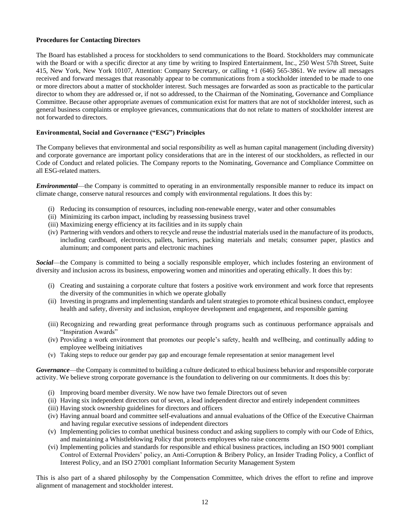#### **Procedures for Contacting Directors**

The Board has established a process for stockholders to send communications to the Board. Stockholders may communicate with the Board or with a specific director at any time by writing to Inspired Entertainment, Inc., 250 West 57th Street, Suite 415, New York, New York 10107, Attention: Company Secretary, or calling +1 (646) 565-3861. We review all messages received and forward messages that reasonably appear to be communications from a stockholder intended to be made to one or more directors about a matter of stockholder interest. Such messages are forwarded as soon as practicable to the particular director to whom they are addressed or, if not so addressed, to the Chairman of the Nominating, Governance and Compliance Committee. Because other appropriate avenues of communication exist for matters that are not of stockholder interest, such as general business complaints or employee grievances, communications that do not relate to matters of stockholder interest are not forwarded to directors.

# **Environmental, Social and Governance ("ESG") Principles**

The Company believes that environmental and social responsibility as well as human capital management (including diversity) and corporate governance are important policy considerations that are in the interest of our stockholders, as reflected in our Code of Conduct and related policies. The Company reports to the Nominating, Governance and Compliance Committee on all ESG-related matters.

*Environmental*—the Company is committed to operating in an environmentally responsible manner to reduce its impact on climate change, conserve natural resources and comply with environmental regulations. It does this by:

- (i) Reducing its consumption of resources, including non-renewable energy, water and other consumables
- (ii) Minimizing its carbon impact, including by reassessing business travel
- (iii) Maximizing energy efficiency at its facilities and in its supply chain
- (iv) Partnering with vendors and others to recycle and reuse the industrial materials used in the manufacture of its products, including cardboard, electronics, pallets, barriers, packing materials and metals; consumer paper, plastics and aluminum; and component parts and electronic machines

*Social*—the Company is committed to being a socially responsible employer, which includes fostering an environment of diversity and inclusion across its business, empowering women and minorities and operating ethically. It does this by:

- (i) Creating and sustaining a corporate culture that fosters a positive work environment and work force that represents the diversity of the communities in which we operate globally
- (ii) Investing in programs and implementing standards and talent strategies to promote ethical business conduct, employee health and safety, diversity and inclusion, employee development and engagement, and responsible gaming
- (iii) Recognizing and rewarding great performance through programs such as continuous performance appraisals and "Inspiration Awards"
- (iv) Providing a work environment that promotes our people's safety, health and wellbeing, and continually adding to employee wellbeing initiatives
- (v) Taking steps to reduce our gender pay gap and encourage female representation at senior management level

*Governance*—the Company is committed to building a culture dedicated to ethical business behavior and responsible corporate activity. We believe strong corporate governance is the foundation to delivering on our commitments. It does this by:

- (i) Improving board member diversity. We now have two female Directors out of seven
- (ii) Having six independent directors out of seven, a lead independent director and entirely independent committees
- (iii) Having stock ownership guidelines for directors and officers
- (iv) Having annual board and committee self-evaluations and annual evaluations of the Office of the Executive Chairman and having regular executive sessions of independent directors
- (v) Implementing policies to combat unethical business conduct and asking suppliers to comply with our Code of Ethics, and maintaining a Whistleblowing Policy that protects employees who raise concerns
- (vi) Implementing policies and standards for responsible and ethical business practices, including an ISO 9001 compliant Control of External Providers' policy, an Anti-Corruption & Bribery Policy, an Insider Trading Policy, a Conflict of Interest Policy, and an ISO 27001 compliant Information Security Management System

This is also part of a shared philosophy by the Compensation Committee, which drives the effort to refine and improve alignment of management and stockholder interest.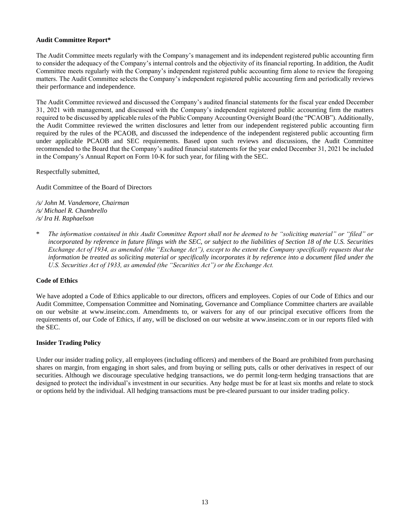# **Audit Committee Report\***

The Audit Committee meets regularly with the Company's management and its independent registered public accounting firm to consider the adequacy of the Company's internal controls and the objectivity of its financial reporting. In addition, the Audit Committee meets regularly with the Company's independent registered public accounting firm alone to review the foregoing matters. The Audit Committee selects the Company's independent registered public accounting firm and periodically reviews their performance and independence.

The Audit Committee reviewed and discussed the Company's audited financial statements for the fiscal year ended December 31, 2021 with management, and discussed with the Company's independent registered public accounting firm the matters required to be discussed by applicable rules of the Public Company Accounting Oversight Board (the "PCAOB"). Additionally, the Audit Committee reviewed the written disclosures and letter from our independent registered public accounting firm required by the rules of the PCAOB, and discussed the independence of the independent registered public accounting firm under applicable PCAOB and SEC requirements. Based upon such reviews and discussions, the Audit Committee recommended to the Board that the Company's audited financial statements for the year ended December 31, 2021 be included in the Company's Annual Report on Form 10-K for such year, for filing with the SEC.

Respectfully submitted,

Audit Committee of the Board of Directors

*/s/ John M. Vandemore, Chairman /s/ Michael R. Chambrello /s/ Ira H. Raphaelson*

\* *The information contained in this Audit Committee Report shall not be deemed to be "soliciting material" or "filed" or incorporated by reference in future filings with the SEC, or subject to the liabilities of Section 18 of the U.S. Securities Exchange Act of 1934, as amended (the "Exchange Act"), except to the extent the Company specifically requests that the information be treated as soliciting material or specifically incorporates it by reference into a document filed under the U.S. Securities Act of 1933, as amended (the "Securities Act") or the Exchange Act.*

# **Code of Ethics**

We have adopted a Code of Ethics applicable to our directors, officers and employees. Copies of our Code of Ethics and our Audit Committee, Compensation Committee and Nominating, Governance and Compliance Committee charters are available on our website at www.inseinc.com. Amendments to, or waivers for any of our principal executive officers from the requirements of, our Code of Ethics, if any, will be disclosed on our website at www.inseinc.com or in our reports filed with the SEC.

#### **Insider Trading Policy**

Under our insider trading policy, all employees (including officers) and members of the Board are prohibited from purchasing shares on margin, from engaging in short sales, and from buying or selling puts, calls or other derivatives in respect of our securities. Although we discourage speculative hedging transactions, we do permit long-term hedging transactions that are designed to protect the individual's investment in our securities. Any hedge must be for at least six months and relate to stock or options held by the individual. All hedging transactions must be pre-cleared pursuant to our insider trading policy.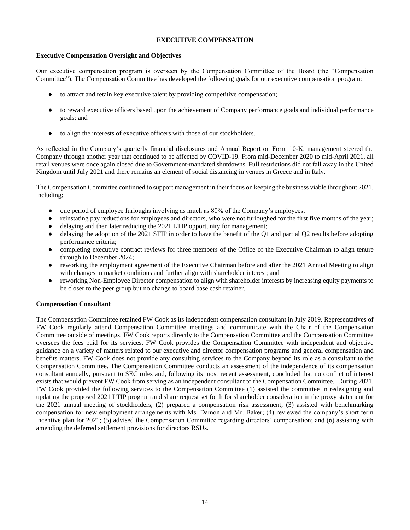# **EXECUTIVE COMPENSATION**

# **Executive Compensation Oversight and Objectives**

Our executive compensation program is overseen by the Compensation Committee of the Board (the "Compensation Committee"). The Compensation Committee has developed the following goals for our executive compensation program:

- to attract and retain key executive talent by providing competitive compensation;
- to reward executive officers based upon the achievement of Company performance goals and individual performance goals; and
- to align the interests of executive officers with those of our stockholders.

As reflected in the Company's quarterly financial disclosures and Annual Report on Form 10-K, management steered the Company through another year that continued to be affected by COVID-19. From mid-December 2020 to mid-April 2021, all retail venues were once again closed due to Government-mandated shutdowns. Full restrictions did not fall away in the United Kingdom until July 2021 and there remains an element of social distancing in venues in Greece and in Italy.

The Compensation Committee continued to support management in their focus on keeping the business viable throughout 2021, including:

- one period of employee furloughs involving as much as 80% of the Company's employees;
- reinstating pay reductions for employees and directors, who were not furloughed for the first five months of the year;
- delaying and then later reducing the 2021 LTIP opportunity for management;
- delaying the adoption of the 2021 STIP in order to have the benefit of the Q1 and partial Q2 results before adopting performance criteria;
- completing executive contract reviews for three members of the Office of the Executive Chairman to align tenure through to December 2024;
- reworking the employment agreement of the Executive Chairman before and after the 2021 Annual Meeting to align with changes in market conditions and further align with shareholder interest; and
- reworking Non-Employee Director compensation to align with shareholder interests by increasing equity payments to be closer to the peer group but no change to board base cash retainer.

# **Compensation Consultant**

The Compensation Committee retained FW Cook as its independent compensation consultant in July 2019. Representatives of FW Cook regularly attend Compensation Committee meetings and communicate with the Chair of the Compensation Committee outside of meetings. FW Cook reports directly to the Compensation Committee and the Compensation Committee oversees the fees paid for its services. FW Cook provides the Compensation Committee with independent and objective guidance on a variety of matters related to our executive and director compensation programs and general compensation and benefits matters. FW Cook does not provide any consulting services to the Company beyond its role as a consultant to the Compensation Committee. The Compensation Committee conducts an assessment of the independence of its compensation consultant annually, pursuant to SEC rules and, following its most recent assessment, concluded that no conflict of interest exists that would prevent FW Cook from serving as an independent consultant to the Compensation Committee. During 2021, FW Cook provided the following services to the Compensation Committee (1) assisted the committee in redesigning and updating the proposed 2021 LTIP program and share request set forth for shareholder consideration in the proxy statement for the 2021 annual meeting of stockholders; (2) prepared a compensation risk assessment; (3) assisted with benchmarking compensation for new employment arrangements with Ms. Damon and Mr. Baker; (4) reviewed the company's short term incentive plan for 2021; (5) advised the Compensation Committee regarding directors' compensation; and (6) assisting with amending the deferred settlement provisions for directors RSUs.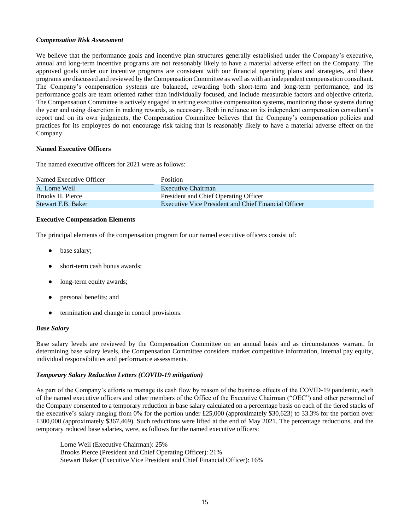### *Compensation Risk Assessment*

We believe that the performance goals and incentive plan structures generally established under the Company's executive, annual and long-term incentive programs are not reasonably likely to have a material adverse effect on the Company. The approved goals under our incentive programs are consistent with our financial operating plans and strategies, and these programs are discussed and reviewed by the Compensation Committee as well as with an independent compensation consultant. The Company's compensation systems are balanced, rewarding both short-term and long-term performance, and its performance goals are team oriented rather than individually focused, and include measurable factors and objective criteria. The Compensation Committee is actively engaged in setting executive compensation systems, monitoring those systems during the year and using discretion in making rewards, as necessary. Both in reliance on its independent compensation consultant's report and on its own judgments, the Compensation Committee believes that the Company's compensation policies and practices for its employees do not encourage risk taking that is reasonably likely to have a material adverse effect on the Company.

# **Named Executive Officers**

The named executive officers for 2021 were as follows:

| Named Executive Officer | <b>Position</b>                                      |
|-------------------------|------------------------------------------------------|
| A. Lorne Weil           | Executive Chairman                                   |
| Brooks H. Pierce        | President and Chief Operating Officer                |
| Stewart F.B. Baker      | Executive Vice President and Chief Financial Officer |
|                         |                                                      |

# **Executive Compensation Elements**

The principal elements of the compensation program for our named executive officers consist of:

- base salary;
- short-term cash bonus awards;
- long-term equity awards;
- personal benefits; and
- termination and change in control provisions.

# *Base Salary*

Base salary levels are reviewed by the Compensation Committee on an annual basis and as circumstances warrant. In determining base salary levels, the Compensation Committee considers market competitive information, internal pay equity, individual responsibilities and performance assessments.

# *Temporary Salary Reduction Letters (COVID-19 mitigation)*

As part of the Company's efforts to manage its cash flow by reason of the business effects of the COVID-19 pandemic, each of the named executive officers and other members of the Office of the Executive Chairman ("OEC") and other personnel of the Company consented to a temporary reduction in base salary calculated on a percentage basis on each of the tiered stacks of the executive's salary ranging from 0% for the portion under £25,000 (approximately \$30,623) to 33.3% for the portion over £300,000 (approximately \$367,469). Such reductions were lifted at the end of May 2021. The percentage reductions, and the temporary reduced base salaries, were, as follows for the named executive officers:

Lorne Weil (Executive Chairman): 25% Brooks Pierce (President and Chief Operating Officer): 21% Stewart Baker (Executive Vice President and Chief Financial Officer): 16%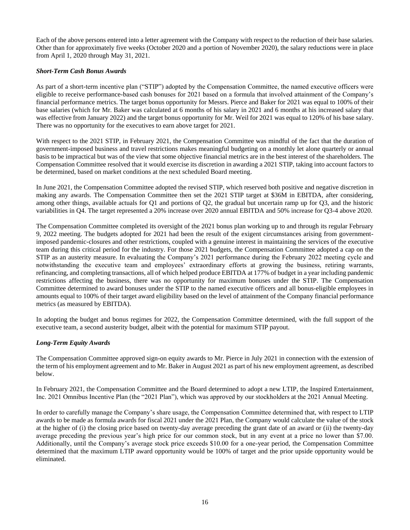Each of the above persons entered into a letter agreement with the Company with respect to the reduction of their base salaries. Other than for approximately five weeks (October 2020 and a portion of November 2020), the salary reductions were in place from April 1, 2020 through May 31, 2021.

# *Short-Term Cash Bonus Awards*

As part of a short-term incentive plan ("STIP") adopted by the Compensation Committee, the named executive officers were eligible to receive performance-based cash bonuses for 2021 based on a formula that involved attainment of the Company's financial performance metrics. The target bonus opportunity for Messrs. Pierce and Baker for 2021 was equal to 100% of their base salaries (which for Mr. Baker was calculated at 6 months of his salary in 2021 and 6 months at his increased salary that was effective from January 2022) and the target bonus opportunity for Mr. Weil for 2021 was equal to 120% of his base salary. There was no opportunity for the executives to earn above target for 2021.

With respect to the 2021 STIP, in February 2021, the Compensation Committee was mindful of the fact that the duration of government-imposed business and travel restrictions makes meaningful budgeting on a monthly let alone quarterly or annual basis to be impractical but was of the view that some objective financial metrics are in the best interest of the shareholders. The Compensation Committee resolved that it would exercise its discretion in awarding a 2021 STIP, taking into account factors to be determined, based on market conditions at the next scheduled Board meeting.

In June 2021, the Compensation Committee adopted the revised STIP, which reserved both positive and negative discretion in making any awards. The Compensation Committee then set the 2021 STIP target at \$36M in EBITDA, after considering, among other things, available actuals for Q1 and portions of Q2, the gradual but uncertain ramp up for Q3, and the historic variabilities in Q4. The target represented a 20% increase over 2020 annual EBITDA and 50% increase for Q3-4 above 2020.

The Compensation Committee completed its oversight of the 2021 bonus plan working up to and through its regular February 9, 2022 meeting. The budgets adopted for 2021 had been the result of the exigent circumstances arising from governmentimposed pandemic-closures and other restrictions, coupled with a genuine interest in maintaining the services of the executive team during this critical period for the industry. For those 2021 budgets, the Compensation Committee adopted a cap on the STIP as an austerity measure. In evaluating the Company's 2021 performance during the February 2022 meeting cycle and notwithstanding the executive team and employees' extraordinary efforts at growing the business, retiring warrants, refinancing, and completing transactions, all of which helped produce EBITDA at 177% of budget in a year including pandemic restrictions affecting the business, there was no opportunity for maximum bonuses under the STIP. The Compensation Committee determined to award bonuses under the STIP to the named executive officers and all bonus-eligible employees in amounts equal to 100% of their target award eligibility based on the level of attainment of the Company financial performance metrics (as measured by EBITDA).

In adopting the budget and bonus regimes for 2022, the Compensation Committee determined, with the full support of the executive team, a second austerity budget, albeit with the potential for maximum STIP payout.

# *Long-Term Equity Awards*

The Compensation Committee approved sign-on equity awards to Mr. Pierce in July 2021 in connection with the extension of the term of his employment agreement and to Mr. Baker in August 2021 as part of his new employment agreement, as described below.

In February 2021, the Compensation Committee and the Board determined to adopt a new LTIP, the Inspired Entertainment, Inc. 2021 Omnibus Incentive Plan (the "2021 Plan"), which was approved by our stockholders at the 2021 Annual Meeting.

In order to carefully manage the Company's share usage, the Compensation Committee determined that, with respect to LTIP awards to be made as formula awards for fiscal 2021 under the 2021 Plan, the Company would calculate the value of the stock at the higher of (i) the closing price based on twenty-day average preceding the grant date of an award or (ii) the twenty-day average preceding the previous year's high price for our common stock, but in any event at a price no lower than \$7.00. Additionally, until the Company's average stock price exceeds \$10.00 for a one-year period, the Compensation Committee determined that the maximum LTIP award opportunity would be 100% of target and the prior upside opportunity would be eliminated.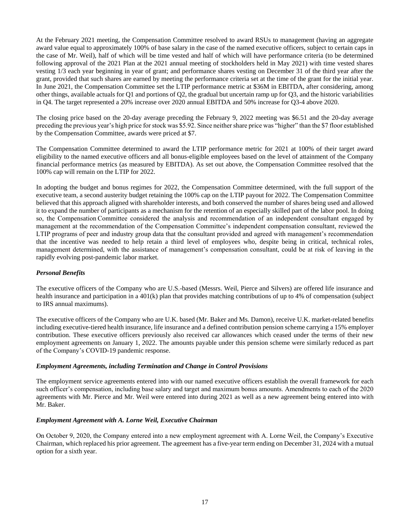At the February 2021 meeting, the Compensation Committee resolved to award RSUs to management (having an aggregate award value equal to approximately 100% of base salary in the case of the named executive officers, subject to certain caps in the case of Mr. Weil), half of which will be time vested and half of which will have performance criteria (to be determined following approval of the 2021 Plan at the 2021 annual meeting of stockholders held in May 2021) with time vested shares vesting 1/3 each year beginning in year of grant; and performance shares vesting on December 31 of the third year after the grant, provided that such shares are earned by meeting the performance criteria set at the time of the grant for the initial year. In June 2021, the Compensation Committee set the LTIP performance metric at \$36M in EBITDA, after considering, among other things, available actuals for Q1 and portions of Q2, the gradual but uncertain ramp up for Q3, and the historic variabilities in Q4. The target represented a 20% increase over 2020 annual EBITDA and 50% increase for Q3-4 above 2020.

The closing price based on the 20-day average preceding the February 9, 2022 meeting was \$6.51 and the 20-day average preceding the previous year's high price for stock was \$5.92. Since neither share price was "higher" than the \$7 floor established by the Compensation Committee, awards were priced at \$7.

The Compensation Committee determined to award the LTIP performance metric for 2021 at 100% of their target award eligibility to the named executive officers and all bonus-eligible employees based on the level of attainment of the Company financial performance metrics (as measured by EBITDA). As set out above, the Compensation Committee resolved that the 100% cap will remain on the LTIP for 2022.

In adopting the budget and bonus regimes for 2022, the Compensation Committee determined, with the full support of the executive team, a second austerity budget retaining the 100% cap on the LTIP payout for 2022. The Compensation Committee believed that this approach aligned with shareholder interests, and both conserved the number of shares being used and allowed it to expand the number of participants as a mechanism for the retention of an especially skilled part of the labor pool. In doing so, the Compensation Committee considered the analysis and recommendation of an independent consultant engaged by management at the recommendation of the Compensation Committee's independent compensation consultant, reviewed the LTIP programs of peer and industry group data that the consultant provided and agreed with management's recommendation that the incentive was needed to help retain a third level of employees who, despite being in critical, technical roles, management determined, with the assistance of management's compensation consultant, could be at risk of leaving in the rapidly evolving post-pandemic labor market.

# *Personal Benefits*

The executive officers of the Company who are U.S.-based (Messrs. Weil, Pierce and Silvers) are offered life insurance and health insurance and participation in a 401(k) plan that provides matching contributions of up to 4% of compensation (subject to IRS annual maximums).

The executive officers of the Company who are U.K. based (Mr. Baker and Ms. Damon), receive U.K. market-related benefits including executive-tiered health insurance, life insurance and a defined contribution pension scheme carrying a 15% employer contribution. These executive officers previously also received car allowances which ceased under the terms of their new employment agreements on January 1, 2022. The amounts payable under this pension scheme were similarly reduced as part of the Company's COVID-19 pandemic response.

# *Employment Agreements, including Termination and Change in Control Provisions*

The employment service agreements entered into with our named executive officers establish the overall framework for each such officer's compensation, including base salary and target and maximum bonus amounts. Amendments to each of the 2020 agreements with Mr. Pierce and Mr. Weil were entered into during 2021 as well as a new agreement being entered into with Mr. Baker.

# *Employment Agreement with A. Lorne Weil, Executive Chairman*

On October 9, 2020, the Company entered into a new employment agreement with A. Lorne Weil, the Company's Executive Chairman, which replaced his prior agreement. The agreement has a five-year term ending on December 31, 2024 with a mutual option for a sixth year.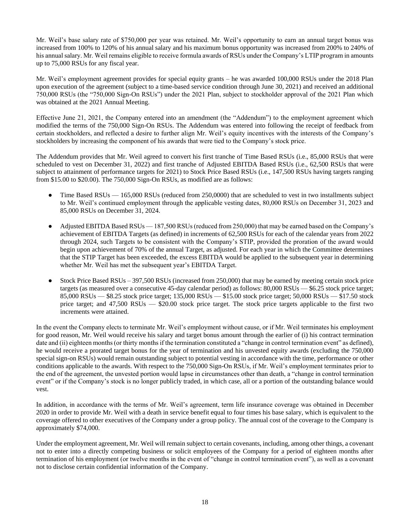Mr. Weil's base salary rate of \$750,000 per year was retained. Mr. Weil's opportunity to earn an annual target bonus was increased from 100% to 120% of his annual salary and his maximum bonus opportunity was increased from 200% to 240% of his annual salary. Mr. Weil remains eligible to receive formula awards of RSUs under the Company's LTIP program in amounts up to 75,000 RSUs for any fiscal year.

Mr. Weil's employment agreement provides for special equity grants – he was awarded 100,000 RSUs under the 2018 Plan upon execution of the agreement (subject to a time-based service condition through June 30, 2021) and received an additional 750,000 RSUs (the "750,000 Sign-On RSUs") under the 2021 Plan, subject to stockholder approval of the 2021 Plan which was obtained at the 2021 Annual Meeting.

Effective June 21, 2021, the Company entered into an amendment (the "Addendum") to the employment agreement which modified the terms of the 750,000 Sign-On RSUs. The Addendum was entered into following the receipt of feedback from certain stockholders, and reflected a desire to further align Mr. Weil's equity incentives with the interests of the Company's stockholders by increasing the component of his awards that were tied to the Company's stock price.

The Addendum provides that Mr. Weil agreed to convert his first tranche of Time Based RSUs (i.e., 85,000 RSUs that were scheduled to vest on December 31, 2022) and first tranche of Adjusted EBITDA Based RSUs (i.e., 62,500 RSUs that were subject to attainment of performance targets for 2021) to Stock Price Based RSUs (i.e., 147,500 RSUs having targets ranging from \$15.00 to \$20.00). The 750,000 Sign-On RSUs, as modified are as follows:

- Time Based RSUs 165,000 RSUs (reduced from 250,0000) that are scheduled to vest in two installments subject to Mr. Weil's continued employment through the applicable vesting dates, 80,000 RSUs on December 31, 2023 and 85,000 RSUs on December 31, 2024.
- Adjusted EBITDA Based RSUs 187,500 RSUs (reduced from 250,000) that may be earned based on the Company's achievement of EBITDA Targets (as defined) in increments of 62,500 RSUs for each of the calendar years from 2022 through 2024, such Targets to be consistent with the Company's STIP, provided the proration of the award would begin upon achievement of 70% of the annual Target, as adjusted. For each year in which the Committee determines that the STIP Target has been exceeded, the excess EBITDA would be applied to the subsequent year in determining whether Mr. Weil has met the subsequent year's EBITDA Target.
- Stock Price Based RSUs 397,500 RSUs (increased from 250,000) that may be earned by meeting certain stock price targets (as measured over a consecutive 45-day calendar period) as follows: 80,000 RSUs — \$6.25 stock price target; 85,000 RSUs — \$8.25 stock price target; 135,000 RSUs — \$15.00 stock price target; 50,000 RSUs — \$17.50 stock price target; and 47,500 RSUs — \$20.00 stock price target. The stock price targets applicable to the first two increments were attained.

In the event the Company elects to terminate Mr. Weil's employment without cause, or if Mr. Weil terminates his employment for good reason, Mr. Weil would receive his salary and target bonus amount through the earlier of (i) his contract termination date and (ii) eighteen months (or thirty months if the termination constituted a "change in control termination event" as defined), he would receive a prorated target bonus for the year of termination and his unvested equity awards (excluding the 750,000 special sign-on RSUs) would remain outstanding subject to potential vesting in accordance with the time, performance or other conditions applicable to the awards. With respect to the 750,000 Sign-On RSUs, if Mr. Weil's employment terminates prior to the end of the agreement, the unvested portion would lapse in circumstances other than death, a "change in control termination event" or if the Company's stock is no longer publicly traded, in which case, all or a portion of the outstanding balance would vest.

In addition, in accordance with the terms of Mr. Weil's agreement, term life insurance coverage was obtained in December 2020 in order to provide Mr. Weil with a death in service benefit equal to four times his base salary, which is equivalent to the coverage offered to other executives of the Company under a group policy. The annual cost of the coverage to the Company is approximately \$74,000.

Under the employment agreement, Mr. Weil will remain subject to certain covenants, including, among other things, a covenant not to enter into a directly competing business or solicit employees of the Company for a period of eighteen months after termination of his employment (or twelve months in the event of "change in control termination event"), as well as a covenant not to disclose certain confidential information of the Company.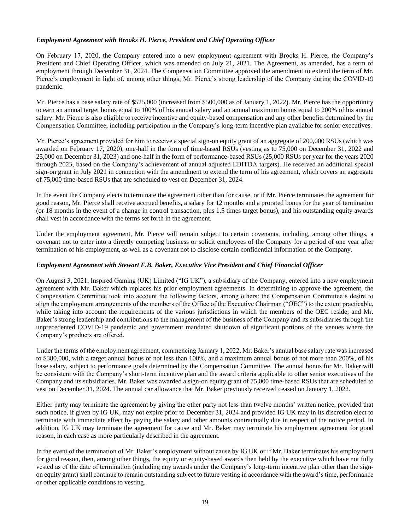# *Employment Agreement with Brooks H. Pierce, President and Chief Operating Officer*

On February 17, 2020, the Company entered into a new employment agreement with Brooks H. Pierce, the Company's President and Chief Operating Officer, which was amended on July 21, 2021. The Agreement, as amended, has a term of employment through December 31, 2024. The Compensation Committee approved the amendment to extend the term of Mr. Pierce's employment in light of, among other things, Mr. Pierce's strong leadership of the Company during the COVID-19 pandemic.

Mr. Pierce has a base salary rate of \$525,000 (increased from \$500,000 as of January 1, 2022). Mr. Pierce has the opportunity to earn an annual target bonus equal to 100% of his annual salary and an annual maximum bonus equal to 200% of his annual salary. Mr. Pierce is also eligible to receive incentive and equity-based compensation and any other benefits determined by the Compensation Committee, including participation in the Company's long-term incentive plan available for senior executives.

Mr. Pierce's agreement provided for him to receive a special sign-on equity grant of an aggregate of 200,000 RSUs (which was awarded on February 17, 2020), one-half in the form of time-based RSUs (vesting as to 75,000 on December 31, 2022 and 25,000 on December 31, 2023) and one-half in the form of performance-based RSUs (25,000 RSUs per year for the years 2020 through 2023, based on the Company's achievement of annual adjusted EBITDA targets). He received an additional special sign-on grant in July 2021 in connection with the amendment to extend the term of his agreement, which covers an aggregate of 75,000 time-based RSUs that are scheduled to vest on December 31, 2024.

In the event the Company elects to terminate the agreement other than for cause, or if Mr. Pierce terminates the agreement for good reason, Mr. Pierce shall receive accrued benefits, a salary for 12 months and a prorated bonus for the year of termination (or 18 months in the event of a change in control transaction, plus 1.5 times target bonus), and his outstanding equity awards shall vest in accordance with the terms set forth in the agreement.

Under the employment agreement, Mr. Pierce will remain subject to certain covenants, including, among other things, a covenant not to enter into a directly competing business or solicit employees of the Company for a period of one year after termination of his employment, as well as a covenant not to disclose certain confidential information of the Company.

# *Employment Agreement with Stewart F.B. Baker, Executive Vice President and Chief Financial Officer*

On August 3, 2021, Inspired Gaming (UK) Limited ("IG UK"), a subsidiary of the Company, entered into a new employment agreement with Mr. Baker which replaces his prior employment agreements. In determining to approve the agreement, the Compensation Committee took into account the following factors, among others: the Compensation Committee's desire to align the employment arrangements of the members of the Office of the Executive Chairman ("OEC") to the extent practicable, while taking into account the requirements of the various jurisdictions in which the members of the OEC reside; and Mr. Baker's strong leadership and contributions to the management of the business of the Company and its subsidiaries through the unprecedented COVID-19 pandemic and government mandated shutdown of significant portions of the venues where the Company's products are offered.

Under the terms of the employment agreement, commencing January 1, 2022, Mr. Baker's annual base salary rate was increased to \$380,000, with a target annual bonus of not less than 100%, and a maximum annual bonus of not more than 200%, of his base salary, subject to performance goals determined by the Compensation Committee. The annual bonus for Mr. Baker will be consistent with the Company's short-term incentive plan and the award criteria applicable to other senior executives of the Company and its subsidiaries. Mr. Baker was awarded a sign-on equity grant of 75,000 time-based RSUs that are scheduled to vest on December 31, 2024. The annual car allowance that Mr. Baker previously received ceased on January 1, 2022.

Either party may terminate the agreement by giving the other party not less than twelve months' written notice, provided that such notice, if given by IG UK, may not expire prior to December 31, 2024 and provided IG UK may in its discretion elect to terminate with immediate effect by paying the salary and other amounts contractually due in respect of the notice period. In addition, IG UK may terminate the agreement for cause and Mr. Baker may terminate his employment agreement for good reason, in each case as more particularly described in the agreement.

In the event of the termination of Mr. Baker's employment without cause by IG UK or if Mr. Baker terminates his employment for good reason, then, among other things, the equity or equity-based awards then held by the executive which have not fully vested as of the date of termination (including any awards under the Company's long-term incentive plan other than the signon equity grant) shall continue to remain outstanding subject to future vesting in accordance with the award's time, performance or other applicable conditions to vesting.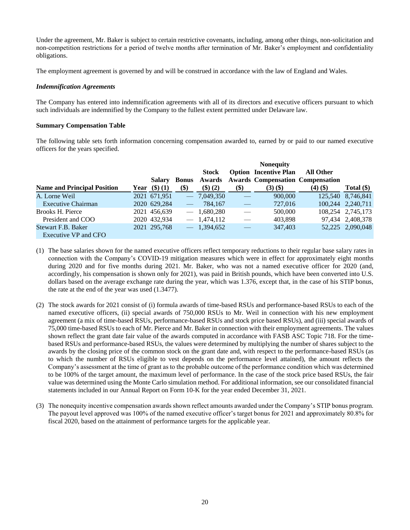Under the agreement, Mr. Baker is subject to certain restrictive covenants, including, among other things, non-solicitation and non-competition restrictions for a period of twelve months after termination of Mr. Baker's employment and confidentiality obligations.

The employment agreement is governed by and will be construed in accordance with the law of England and Wales.

### *Indemnification Agreements*

The Company has entered into indemnification agreements with all of its directors and executive officers pursuant to which such individuals are indemnified by the Company to the fullest extent permitted under Delaware law.

# **Summary Compensation Table**

The following table sets forth information concerning compensation awarded to, earned by or paid to our named executive officers for the years specified.

|                                    |      |              |                  |              |     | <b>Nonequity</b>                        |                  |                   |
|------------------------------------|------|--------------|------------------|--------------|-----|-----------------------------------------|------------------|-------------------|
|                                    |      |              |                  | <b>Stock</b> |     | <b>Option</b> Incentive Plan            | All Other        |                   |
|                                    |      | Salary       | <b>Bonus</b>     | Awards       |     | <b>Awards Compensation Compensation</b> |                  |                   |
| <b>Name and Principal Position</b> | Year | (3)(1)       | (\$)             | (3)(2)       | \$) | $(3)(\$)$                               | $(4)$ $($ \$ $)$ | Total (\$)        |
| A. Lorne Weil                      |      | 2021 671,951 |                  | $-7,049,350$ |     | 900,000                                 | 125,540          | 8.746.841         |
| <b>Executive Chairman</b>          |      | 2020 629,284 | $\hspace{0.1cm}$ | 784,167      |     | 727,016                                 |                  | 100,244 2,240,711 |
| Brooks H. Pierce                   |      | 2021 456,639 |                  | $-1,680,280$ |     | 500,000                                 |                  | 108,254 2,745,173 |
| President and COO                  |      | 2020 432,934 |                  | $-1,474,112$ |     | 403,898                                 |                  | 97,434 2,408,378  |
| Stewart F.B. Baker                 |      | 2021 295,768 |                  | $-1.394.652$ |     | 347,403                                 |                  | 52,225 2,090,048  |
| Executive VP and CFO               |      |              |                  |              |     |                                         |                  |                   |

- (1) The base salaries shown for the named executive officers reflect temporary reductions to their regular base salary rates in connection with the Company's COVID-19 mitigation measures which were in effect for approximately eight months during 2020 and for five months during 2021. Mr. Baker, who was not a named executive officer for 2020 (and, accordingly, his compensation is shown only for 2021), was paid in British pounds, which have been converted into U.S. dollars based on the average exchange rate during the year, which was 1.376, except that, in the case of his STIP bonus, the rate at the end of the year was used (1.3477).
- (2) The stock awards for 2021 consist of (i) formula awards of time-based RSUs and performance-based RSUs to each of the named executive officers, (ii) special awards of 750,000 RSUs to Mr. Weil in connection with his new employment agreement (a mix of time-based RSUs, performance-based RSUs and stock price based RSUs), and (iii) special awards of 75,000 time-based RSUs to each of Mr. Pierce and Mr. Baker in connection with their employment agreements. The values shown reflect the grant date fair value of the awards computed in accordance with FASB ASC Topic 718. For the timebased RSUs and performance-based RSUs, the values were determined by multiplying the number of shares subject to the awards by the closing price of the common stock on the grant date and, with respect to the performance-based RSUs (as to which the number of RSUs eligible to vest depends on the performance level attained), the amount reflects the Company's assessment at the time of grant as to the probable outcome of the performance condition which was determined to be 100% of the target amount, the maximum level of performance. In the case of the stock price based RSUs, the fair value was determined using the Monte Carlo simulation method. For additional information, see our consolidated financial statements included in our Annual Report on Form 10-K for the year ended December 31, 2021.
- (3) The nonequity incentive compensation awards shown reflect amounts awarded under the Company's STIP bonus program. The payout level approved was 100% of the named executive officer's target bonus for 2021 and approximately 80.8% for fiscal 2020, based on the attainment of performance targets for the applicable year.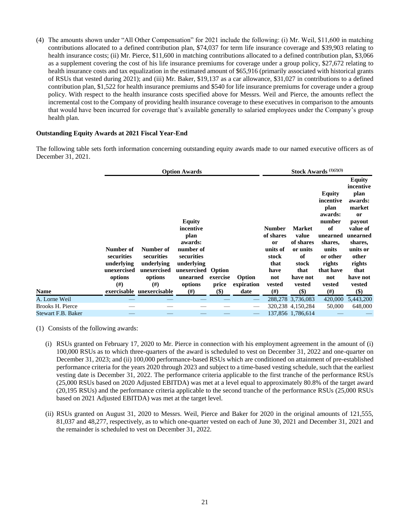(4) The amounts shown under "All Other Compensation" for 2021 include the following: (i) Mr. Weil, \$11,600 in matching contributions allocated to a defined contribution plan, \$74,037 for term life insurance coverage and \$39,903 relating to health insurance costs; (ii) Mr. Pierce, \$11,600 in matching contributions allocated to a defined contribution plan, \$3,066 as a supplement covering the cost of his life insurance premiums for coverage under a group policy, \$27,672 relating to health insurance costs and tax equalization in the estimated amount of \$65,916 (primarily associated with historical grants of RSUs that vested during 2021); and (iii) Mr. Baker, \$19,137 as a car allowance, \$31,027 in contributions to a defined contribution plan, \$1,522 for health insurance premiums and \$540 for life insurance premiums for coverage under a group policy. With respect to the health insurance costs specified above for Messrs. Weil and Pierce, the amounts reflect the incremental cost to the Company of providing health insurance coverage to these executives in comparison to the amounts that would have been incurred for coverage that's available generally to salaried employees under the Company's group health plan.

# **Outstanding Equity Awards at 2021 Fiscal Year-End**

The following table sets forth information concerning outstanding equity awards made to our named executive officers as of December 31, 2021.

|                    | <b>Option Awards</b>                                                    |                                                                                                    |                                                                                                                                        |                                    |                              |                                                                                                     | Stock Awards (1)(2)(3)                                                                              |                                                                                                                                                         |                                                                                                                                                                         |
|--------------------|-------------------------------------------------------------------------|----------------------------------------------------------------------------------------------------|----------------------------------------------------------------------------------------------------------------------------------------|------------------------------------|------------------------------|-----------------------------------------------------------------------------------------------------|-----------------------------------------------------------------------------------------------------|---------------------------------------------------------------------------------------------------------------------------------------------------------|-------------------------------------------------------------------------------------------------------------------------------------------------------------------------|
| <b>Name</b>        | Number of<br>securities<br>underlying<br>unexercised<br>options<br>(# ) | Number of<br>securities<br>underlying<br>unexercised<br>options<br>#)<br>exercisable unexercisable | <b>Equity</b><br>incentive<br>plan<br>awards:<br>number of<br>securities<br>underlying<br>unexercised<br>unearned<br>options<br>$(\#)$ | Option<br>exercise<br>price<br>\$) | Option<br>expiration<br>date | <b>Number</b><br>of shares<br><b>or</b><br>units of<br>stock<br>that<br>have<br>not<br>vested<br>#) | <b>Market</b><br>value<br>of shares<br>or units<br>of<br>stock<br>that<br>have not<br>vested<br>\$) | <b>Equity</b><br>incentive<br>plan<br>awards:<br>number<br>of<br>unearned<br>shares,<br>units<br>or other<br>rights<br>that have<br>not<br>vested<br>#) | Equity<br>incentive<br>plan<br>awards:<br>market<br>or<br>payout<br>value of<br>unearned<br>shares,<br>units or<br>other<br>rights<br>that<br>have not<br>vested<br>\$) |
| A. Lorne Weil      |                                                                         |                                                                                                    |                                                                                                                                        |                                    |                              |                                                                                                     | 288,278 3,736,083                                                                                   | 420,000                                                                                                                                                 | 5,443,200                                                                                                                                                               |
| Brooks H. Pierce   |                                                                         |                                                                                                    |                                                                                                                                        |                                    |                              |                                                                                                     | 320,238 4,150,284                                                                                   | 50,000                                                                                                                                                  | 648,000                                                                                                                                                                 |
| Stewart F.B. Baker |                                                                         |                                                                                                    |                                                                                                                                        |                                    |                              |                                                                                                     | 137,856 1,786,614                                                                                   |                                                                                                                                                         |                                                                                                                                                                         |

(1) Consists of the following awards:

- (i) RSUs granted on February 17, 2020 to Mr. Pierce in connection with his employment agreement in the amount of (i) 100,000 RSUs as to which three-quarters of the award is scheduled to vest on December 31, 2022 and one-quarter on December 31, 2023; and (ii) 100,000 performance-based RSUs which are conditioned on attainment of pre-established performance criteria for the years 2020 through 2023 and subject to a time-based vesting schedule, such that the earliest vesting date is December 31, 2022. The performance criteria applicable to the first tranche of the performance RSUs (25,000 RSUs based on 2020 Adjusted EBITDA) was met at a level equal to approximately 80.8% of the target award (20,195 RSUs) and the performance criteria applicable to the second tranche of the performance RSUs (25,000 RSUs based on 2021 Adjusted EBITDA) was met at the target level.
- (ii) RSUs granted on August 31, 2020 to Messrs. Weil, Pierce and Baker for 2020 in the original amounts of 121,555, 81,037 and 48,277, respectively, as to which one-quarter vested on each of June 30, 2021 and December 31, 2021 and the remainder is scheduled to vest on December 31, 2022.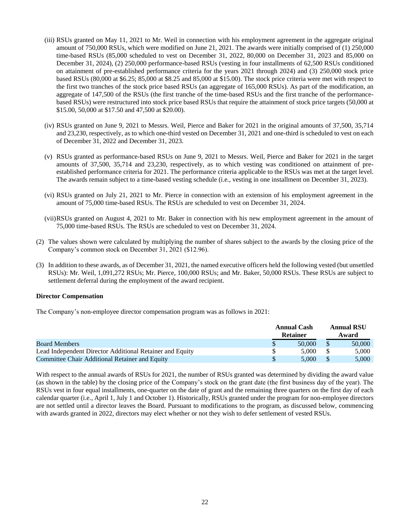- (iii) RSUs granted on May 11, 2021 to Mr. Weil in connection with his employment agreement in the aggregate original amount of 750,000 RSUs, which were modified on June 21, 2021. The awards were initially comprised of (1) 250,000 time-based RSUs (85,000 scheduled to vest on December 31, 2022, 80,000 on December 31, 2023 and 85,000 on December 31, 2024), (2) 250,000 performance-based RSUs (vesting in four installments of 62,500 RSUs conditioned on attainment of pre-established performance criteria for the years 2021 through 2024) and (3) 250,000 stock price based RSUs (80,000 at \$6.25; 85,000 at \$8.25 and 85,000 at \$15.00). The stock price criteria were met with respect to the first two tranches of the stock price based RSUs (an aggregate of 165,000 RSUs). As part of the modification, an aggregate of 147,500 of the RSUs (the first tranche of the time-based RSUs and the first tranche of the performancebased RSUs) were restructured into stock price based RSUs that require the attainment of stock price targets (50,000 at \$15.00, 50,000 at \$17.50 and 47,500 at \$20.00).
- (iv) RSUs granted on June 9, 2021 to Messrs. Weil, Pierce and Baker for 2021 in the original amounts of 37,500, 35,714 and 23,230, respectively, as to which one-third vested on December 31, 2021 and one-third is scheduled to vest on each of December 31, 2022 and December 31, 2023.
- (v) RSUs granted as performance-based RSUs on June 9, 2021 to Messrs. Weil, Pierce and Baker for 2021 in the target amounts of 37,500, 35,714 and 23,230, respectively, as to which vesting was conditioned on attainment of preestablished performance criteria for 2021. The performance criteria applicable to the RSUs was met at the target level. The awards remain subject to a time-based vesting schedule (i.e., vesting in one installment on December 31, 2023).
- (vi) RSUs granted on July 21, 2021 to Mr. Pierce in connection with an extension of his employment agreement in the amount of 75,000 time-based RSUs. The RSUs are scheduled to vest on December 31, 2024.
- (vii)RSUs granted on August 4, 2021 to Mr. Baker in connection with his new employment agreement in the amount of 75,000 time-based RSUs. The RSUs are scheduled to vest on December 31, 2024.
- (2) The values shown were calculated by multiplying the number of shares subject to the awards by the closing price of the Company's common stock on December 31, 2021 (\$12.96).
- (3) In addition to these awards, as of December 31, 2021, the named executive officers held the following vested (but unsettled RSUs): Mr. Weil, 1,091,272 RSUs; Mr. Pierce, 100,000 RSUs; and Mr. Baker, 50,000 RSUs. These RSUs are subject to settlement deferral during the employment of the award recipient.

#### **Director Compensation**

The Company's non-employee director compensation program was as follows in 2021:

|                                                          | <b>Annual Cash</b><br>Retainer | <b>Annual RSU</b><br>Award |
|----------------------------------------------------------|--------------------------------|----------------------------|
| <b>Board Members</b>                                     | 50,000                         | 50,000                     |
| Lead Independent Director Additional Retainer and Equity | 5.000                          | 5.000                      |
| Committee Chair Additional Retainer and Equity           | 5.000                          | 5.000                      |

With respect to the annual awards of RSUs for 2021, the number of RSUs granted was determined by dividing the award value (as shown in the table) by the closing price of the Company's stock on the grant date (the first business day of the year). The RSUs vest in four equal installments, one-quarter on the date of grant and the remaining three quarters on the first day of each calendar quarter (i.e., April 1, July 1 and October 1). Historically, RSUs granted under the program for non-employee directors are not settled until a director leaves the Board. Pursuant to modifications to the program, as discussed below, commencing with awards granted in 2022, directors may elect whether or not they wish to defer settlement of vested RSUs.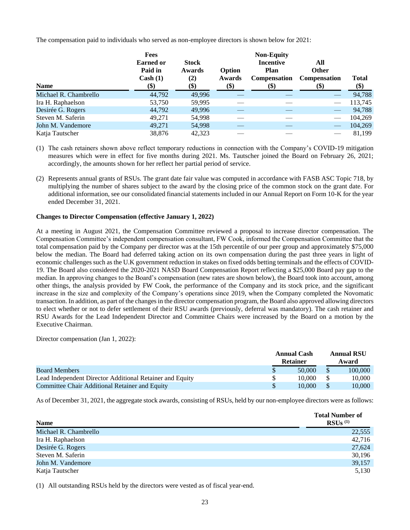The compensation paid to individuals who served as non-employee directors is shown below for 2021:

|                       | Fees                        |                        |               | <b>Non-Equity</b>               |                             |                     |
|-----------------------|-----------------------------|------------------------|---------------|---------------------------------|-----------------------------|---------------------|
|                       | <b>Earned or</b><br>Paid in | <b>Stock</b><br>Awards | Option        | <b>Incentive</b><br><b>Plan</b> | All<br><b>Other</b>         |                     |
| <b>Name</b>           | Cash (1)<br>\$)             | (2)<br>\$)             | Awards<br>\$) | <b>Compensation</b><br>(\$)     | <b>Compensation</b><br>(\$) | <b>Total</b><br>\$) |
| Michael R. Chambrello | 44,792                      | 49,996                 |               |                                 |                             | 94,788              |
| Ira H. Raphaelson     | 53,750                      | 59,995                 |               |                                 |                             | 113,745             |
| Desirée G. Rogers     | 44,792                      | 49,996                 |               |                                 |                             | 94,788              |
| Steven M. Saferin     | 49.271                      | 54,998                 |               |                                 |                             | 104,269             |
| John M. Vandemore     | 49,271                      | 54,998                 |               |                                 |                             | 104,269             |
| Katja Tautscher       | 38,876                      | 42,323                 |               |                                 |                             | 81,199              |

- (1) The cash retainers shown above reflect temporary reductions in connection with the Company's COVID-19 mitigation measures which were in effect for five months during 2021. Ms. Tautscher joined the Board on February 26, 2021; accordingly, the amounts shown for her reflect her partial period of service.
- (2) Represents annual grants of RSUs. The grant date fair value was computed in accordance with FASB ASC Topic 718, by multiplying the number of shares subject to the award by the closing price of the common stock on the grant date. For additional information, see our consolidated financial statements included in our Annual Report on Form 10-K for the year ended December 31, 2021.

# **Changes to Director Compensation (effective January 1, 2022)**

At a meeting in August 2021, the Compensation Committee reviewed a proposal to increase director compensation. The Compensation Committee's independent compensation consultant, FW Cook, informed the Compensation Committee that the total compensation paid by the Company per director was at the 15th percentile of our peer group and approximately \$75,000 below the median. The Board had deferred taking action on its own compensation during the past three years in light of economic challenges such as the U.K government reduction in stakes on fixed odds betting terminals and the effects of COVID-19. The Board also considered the 2020-2021 NASD Board Compensation Report reflecting a \$25,000 Board pay gap to the median. In approving changes to the Board's compensation (new rates are shown below), the Board took into account, among other things, the analysis provided by FW Cook, the performance of the Company and its stock price, and the significant increase in the size and complexity of the Company's operations since 2019, when the Company completed the Novomatic transaction. In addition, as part of the changes in the director compensation program, the Board also approved allowing directors to elect whether or not to defer settlement of their RSU awards (previously, deferral was mandatory). The cash retainer and RSU Awards for the Lead Independent Director and Committee Chairs were increased by the Board on a motion by the Executive Chairman.

Director compensation (Jan 1, 2022):

|                                                          | <b>Annual Cash</b><br><b>Retainer</b> | <b>Annual RSU</b><br>Award |
|----------------------------------------------------------|---------------------------------------|----------------------------|
| <b>Board Members</b>                                     | 50,000                                | 100,000                    |
| Lead Independent Director Additional Retainer and Equity | 10.000                                | 10.000                     |
| Committee Chair Additional Retainer and Equity           | 10.000                                | 10.000                     |

As of December 31, 2021, the aggregate stock awards, consisting of RSUs, held by our non-employee directors were as follows:

| <b>Name</b>           | <b>Total Number of</b><br>$RSUs$ <sup>(1)</sup> |
|-----------------------|-------------------------------------------------|
| Michael R. Chambrello | 22,555                                          |
| Ira H. Raphaelson     | 42.716                                          |
| Desirée G. Rogers     | 27,624                                          |
| Steven M. Saferin     | 30,196                                          |
| John M. Vandemore     | 39,157                                          |
| Katja Tautscher       | 5,130                                           |

(1) All outstanding RSUs held by the directors were vested as of fiscal year-end.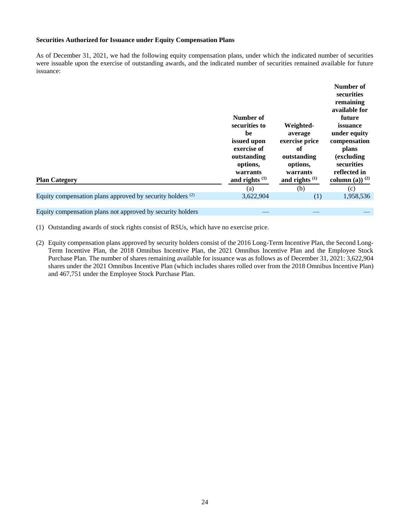# **Securities Authorized for Issuance under Equity Compensation Plans**

As of December 31, 2021, we had the following equity compensation plans, under which the indicated number of securities were issuable upon the exercise of outstanding awards, and the indicated number of securities remained available for future issuance:

| <b>Plan Category</b>                                         | Number of<br>securities to<br>be<br>issued upon<br>exercise of<br>outstanding<br>options,<br>warrants<br>and rights $(1)$ | Weighted-<br>average<br>exercise price<br>of<br>outstanding<br>options,<br>warrants<br>and rights $(1)$ | Number of<br>securities<br>remaining<br>available for<br>future<br><i>issuance</i><br>under equity<br>compensation<br>plans<br>(excluding)<br>securities<br>reflected in<br>column (a)) $^{(2)}$ |
|--------------------------------------------------------------|---------------------------------------------------------------------------------------------------------------------------|---------------------------------------------------------------------------------------------------------|--------------------------------------------------------------------------------------------------------------------------------------------------------------------------------------------------|
|                                                              | (a)                                                                                                                       | (b)                                                                                                     | (c)                                                                                                                                                                                              |
| Equity compensation plans approved by security holders $(2)$ | 3,622,904                                                                                                                 | (1)                                                                                                     | 1,958,536                                                                                                                                                                                        |

Equity compensation plans not approved by security holders

(1) Outstanding awards of stock rights consist of RSUs, which have no exercise price.

(2) Equity compensation plans approved by security holders consist of the 2016 Long-Term Incentive Plan, the Second Long-Term Incentive Plan, the 2018 Omnibus Incentive Plan, the 2021 Omnibus Incentive Plan and the Employee Stock Purchase Plan. The number of shares remaining available for issuance was as follows as of December 31, 2021: 3,622,904 shares under the 2021 Omnibus Incentive Plan (which includes shares rolled over from the 2018 Omnibus Incentive Plan) and 467,751 under the Employee Stock Purchase Plan.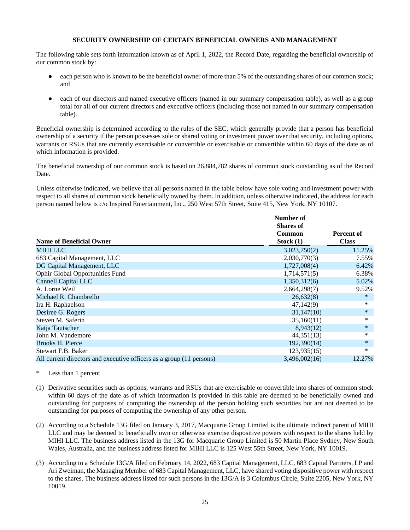# **SECURITY OWNERSHIP OF CERTAIN BENEFICIAL OWNERS AND MANAGEMENT**

The following table sets forth information known as of April 1, 2022, the Record Date, regarding the beneficial ownership of our common stock by:

- each person who is known to be the beneficial owner of more than 5% of the outstanding shares of our common stock; and
- each of our directors and named executive officers (named in our summary compensation table), as well as a group total for all of our current directors and executive officers (including those not named in our summary compensation table).

Beneficial ownership is determined according to the rules of the SEC, which generally provide that a person has beneficial ownership of a security if the person possesses sole or shared voting or investment power over that security, including options, warrants or RSUs that are currently exercisable or convertible or exercisable or convertible within 60 days of the date as of which information is provided.

The beneficial ownership of our common stock is based on 26,884,782 shares of common stock outstanding as of the Record Date.

Unless otherwise indicated, we believe that all persons named in the table below have sole voting and investment power with respect to all shares of common stock beneficially owned by them. In addition, unless otherwise indicated, the address for each person named below is c/o Inspired Entertainment, Inc., 250 West 57th Street, Suite 415, New York, NY 10107.

| <b>Name of Beneficial Owner</b>                                      | Number of<br><b>Shares</b> of<br><b>Common</b><br>Stock(1) | <b>Percent of</b><br><b>Class</b> |
|----------------------------------------------------------------------|------------------------------------------------------------|-----------------------------------|
| <b>MIHI LLC</b>                                                      | 3,023,750(2)                                               | 11.25%                            |
| 683 Capital Management, LLC                                          | 2,030,770(3)                                               | 7.55%                             |
| DG Capital Management, LLC                                           | 1,727,008(4)                                               | 6.42%                             |
| <b>Ophir Global Opportunities Fund</b>                               | 1,714,571(5)                                               | 6.38%                             |
| <b>Cannell Capital LLC</b>                                           | 1,350,312(6)                                               | 5.02%                             |
| A. Lorne Weil                                                        | 2,664,298(7)                                               | 9.52%                             |
| Michael R. Chambrello                                                | 26,632(8)                                                  | $\ast$                            |
| Ira H. Raphaelson                                                    | 47,142(9)                                                  | *                                 |
| Desiree G. Rogers                                                    | 31,147(10)                                                 | $\ast$                            |
| Steven M. Saferin                                                    | 35,160(11)                                                 | *                                 |
| Katja Tautscher                                                      | 8,943(12)                                                  | $\ast$                            |
| John M. Vandemore                                                    | 44,351(13)                                                 | *                                 |
| <b>Brooks H. Pierce</b>                                              | 192,390(14)                                                | $\ast$                            |
| Stewart F.B. Baker                                                   | 123,935(15)                                                | $\ast$                            |
| All current directors and executive officers as a group (11 persons) | 3,496,002(16)                                              | 12.27%                            |

Less than 1 percent

- (1) Derivative securities such as options, warrants and RSUs that are exercisable or convertible into shares of common stock within 60 days of the date as of which information is provided in this table are deemed to be beneficially owned and outstanding for purposes of computing the ownership of the person holding such securities but are not deemed to be outstanding for purposes of computing the ownership of any other person.
- (2) According to a Schedule 13G filed on January 3, 2017, Macquarie Group Limited is the ultimate indirect parent of MIHI LLC and may be deemed to beneficially own or otherwise exercise dispositive powers with respect to the shares held by MIHI LLC. The business address listed in the 13G for Macquarie Group Limited is 50 Martin Place Sydney, New South Wales, Australia, and the business address listed for MIHI LLC is 125 West 55th Street, New York, NY 10019.
- (3) According to a Schedule 13G/A filed on February 14, 2022, 683 Capital Management, LLC, 683 Capital Partners, LP and Ari Zweiman, the Managing Member of 683 Capital Management, LLC, have shared voting dispositive power with respect to the shares. The business address listed for such persons in the 13G/A is 3 Columbus Circle, Suite 2205, New York, NY 10019.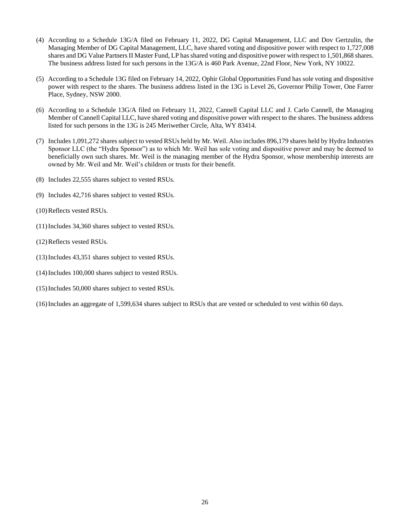- (4) According to a Schedule 13G/A filed on February 11, 2022, DG Capital Management, LLC and Dov Gertzulin, the Managing Member of DG Capital Management, LLC, have shared voting and dispositive power with respect to 1,727,008 shares and DG Value Partners II Master Fund, LP has shared voting and dispositive power with respect to 1,501,868 shares. The business address listed for such persons in the 13G/A is 460 Park Avenue, 22nd Floor, New York, NY 10022.
- (5) According to a Schedule 13G filed on February 14, 2022, Ophir Global Opportunities Fund has sole voting and dispositive power with respect to the shares. The business address listed in the 13G is Level 26, Governor Philip Tower, One Farrer Place, Sydney, NSW 2000.
- (6) According to a Schedule 13G/A filed on February 11, 2022, Cannell Capital LLC and J. Carlo Cannell, the Managing Member of Cannell Capital LLC, have shared voting and dispositive power with respect to the shares. The business address listed for such persons in the 13G is 245 Meriwether Circle, Alta, WY 83414.
- (7) Includes 1,091,272 shares subject to vested RSUs held by Mr. Weil. Also includes 896,179 shares held by Hydra Industries Sponsor LLC (the "Hydra Sponsor") as to which Mr. Weil has sole voting and dispositive power and may be deemed to beneficially own such shares. Mr. Weil is the managing member of the Hydra Sponsor, whose membership interests are owned by Mr. Weil and Mr. Weil's children or trusts for their benefit.
- (8) Includes 22,555 shares subject to vested RSUs.
- (9) Includes 42,716 shares subject to vested RSUs.
- (10)Reflects vested RSUs.
- (11)Includes 34,360 shares subject to vested RSUs.
- (12) Reflects vested RSUs.
- (13)Includes 43,351 shares subject to vested RSUs.
- (14)Includes 100,000 shares subject to vested RSUs.
- (15)Includes 50,000 shares subject to vested RSUs.
- (16)Includes an aggregate of 1,599,634 shares subject to RSUs that are vested or scheduled to vest within 60 days.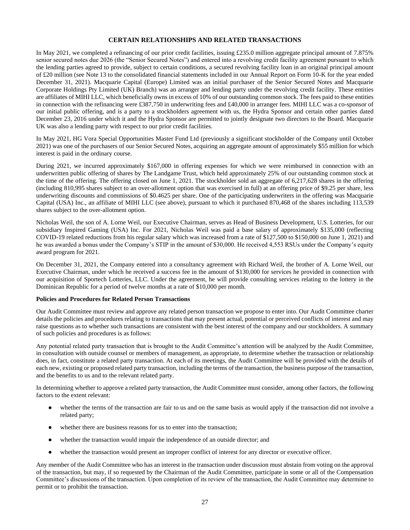### **CERTAIN RELATIONSHIPS AND RELATED TRANSACTIONS**

In May 2021, we completed a refinancing of our prior credit facilities, issuing £235.0 million aggregate principal amount of 7.875% senior secured notes due 2026 (the "Senior Secured Notes") and entered into a revolving credit facility agreement pursuant to which the lending parties agreed to provide, subject to certain conditions, a secured revolving facility loan in an original principal amount of £20 million (see Note 13 to the consolidated financial statements included in our Annual Report on Form 10-K for the year ended December 31, 2021). Macquarie Capital (Europe) Limited was an initial purchaser of the Senior Secured Notes and Macquarie Corporate Holdings Pty Limited (UK) Branch) was an arranger and lending party under the revolving credit facility. These entities are affiliates of MIHI LLC, which beneficially owns in excess of 10% of our outstanding common stock. The fees paid to these entities in connection with the refinancing were £387,750 in underwriting fees and £40,000 in arranger fees. MIHI LLC was a co-sponsor of our initial public offering, and is a party to a stockholders agreement with us, the Hydra Sponsor and certain other parties dated December 23, 2016 under which it and the Hydra Sponsor are permitted to jointly designate two directors to the Board. Macquarie UK was also a lending party with respect to our prior credit facilities.

In May 2021, HG Vora Special Opportunities Master Fund Ltd (previously a significant stockholder of the Company until October 2021) was one of the purchasers of our Senior Secured Notes, acquiring an aggregate amount of approximately \$55 million for which interest is paid in the ordinary course.

During 2021, we incurred approximately \$167,000 in offering expenses for which we were reimbursed in connection with an underwritten public offering of shares by The Landgame Trust, which held approximately 25% of our outstanding common stock at the time of the offering. The offering closed on June 1, 2021. The stockholder sold an aggregate of 6,217,628 shares in the offering (including 810,995 shares subject to an over-allotment option that was exercised in full) at an offering price of \$9.25 per share, less underwriting discounts and commissions of \$0.4625 per share. One of the participating underwriters in the offering was Macquarie Capital (USA) Inc., an affiliate of MIHI LLC (see above), pursuant to which it purchased 870,468 of the shares including 113,539 shares subject to the over-allotment option.

Nicholas Weil, the son of A. Lorne Weil, our Executive Chairman, serves as Head of Business Development, U.S. Lotteries, for our subsidiary Inspired Gaming (USA) Inc. For 2021, Nicholas Weil was paid a base salary of approximately \$135,000 (reflecting COVID-19 related reductions from his regular salary which was increased from a rate of \$127,500 to \$150,000 on June 1, 2021) and he was awarded a bonus under the Company's STIP in the amount of \$30,000. He received 4,553 RSUs under the Company's equity award program for 2021.

On December 31, 2021, the Company entered into a consultancy agreement with Richard Weil, the brother of A. Lorne Weil, our Executive Chairman, under which he received a success fee in the amount of \$130,000 for services he provided in connection with our acquisition of Sportech Lotteries, LLC. Under the agreement, he will provide consulting services relating to the lottery in the Dominican Republic for a period of twelve months at a rate of \$10,000 per month.

#### **Policies and Procedures for Related Person Transactions**

Our Audit Committee must review and approve any related person transaction we propose to enter into. Our Audit Committee charter details the policies and procedures relating to transactions that may present actual, potential or perceived conflicts of interest and may raise questions as to whether such transactions are consistent with the best interest of the company and our stockholders. A summary of such policies and procedures is as follows:

Any potential related party transaction that is brought to the Audit Committee's attention will be analyzed by the Audit Committee, in consultation with outside counsel or members of management, as appropriate, to determine whether the transaction or relationship does, in fact, constitute a related party transaction. At each of its meetings, the Audit Committee will be provided with the details of each new, existing or proposed related party transaction, including the terms of the transaction, the business purpose of the transaction, and the benefits to us and to the relevant related party.

In determining whether to approve a related party transaction, the Audit Committee must consider, among other factors, the following factors to the extent relevant:

- whether the terms of the transaction are fair to us and on the same basis as would apply if the transaction did not involve a related party;
- whether there are business reasons for us to enter into the transaction;
- whether the transaction would impair the independence of an outside director; and
- whether the transaction would present an improper conflict of interest for any director or executive officer.

Any member of the Audit Committee who has an interest in the transaction under discussion must abstain from voting on the approval of the transaction, but may, if so requested by the Chairman of the Audit Committee, participate in some or all of the Compensation Committee's discussions of the transaction. Upon completion of its review of the transaction, the Audit Committee may determine to permit or to prohibit the transaction.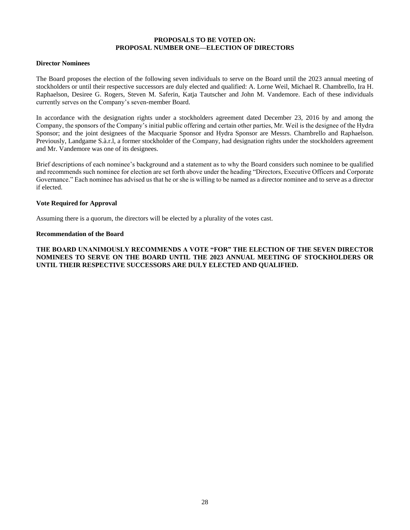# **PROPOSALS TO BE VOTED ON: PROPOSAL NUMBER ONE—ELECTION OF DIRECTORS**

# **Director Nominees**

The Board proposes the election of the following seven individuals to serve on the Board until the 2023 annual meeting of stockholders or until their respective successors are duly elected and qualified: A. Lorne Weil, Michael R. Chambrello, Ira H. Raphaelson, Desiree G. Rogers, Steven M. Saferin, Katja Tautscher and John M. Vandemore. Each of these individuals currently serves on the Company's seven-member Board.

In accordance with the designation rights under a stockholders agreement dated December 23, 2016 by and among the Company, the sponsors of the Company's initial public offering and certain other parties, Mr. Weil is the designee of the Hydra Sponsor; and the joint designees of the Macquarie Sponsor and Hydra Sponsor are Messrs. Chambrello and Raphaelson. Previously, Landgame S.à.r.l, a former stockholder of the Company, had designation rights under the stockholders agreement and Mr. Vandemore was one of its designees.

Brief descriptions of each nominee's background and a statement as to why the Board considers such nominee to be qualified and recommends such nominee for election are set forth above under the heading "Directors, Executive Officers and Corporate Governance." Each nominee has advised us that he or she is willing to be named as a director nominee and to serve as a director if elected.

### **Vote Required for Approval**

Assuming there is a quorum, the directors will be elected by a plurality of the votes cast.

#### **Recommendation of the Board**

**THE BOARD UNANIMOUSLY RECOMMENDS A VOTE "FOR" THE ELECTION OF THE SEVEN DIRECTOR NOMINEES TO SERVE ON THE BOARD UNTIL THE 2023 ANNUAL MEETING OF STOCKHOLDERS OR UNTIL THEIR RESPECTIVE SUCCESSORS ARE DULY ELECTED AND QUALIFIED.**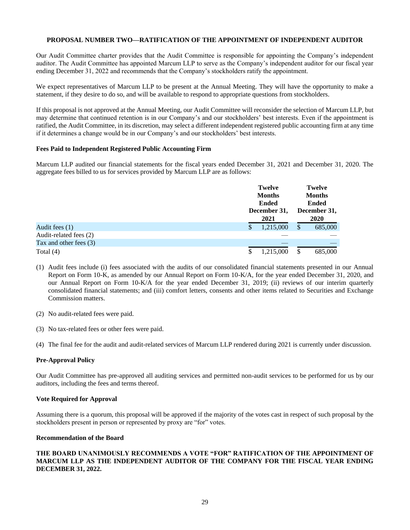# **PROPOSAL NUMBER TWO—RATIFICATION OF THE APPOINTMENT OF INDEPENDENT AUDITOR**

Our Audit Committee charter provides that the Audit Committee is responsible for appointing the Company's independent auditor. The Audit Committee has appointed Marcum LLP to serve as the Company's independent auditor for our fiscal year ending December 31, 2022 and recommends that the Company's stockholders ratify the appointment.

We expect representatives of Marcum LLP to be present at the Annual Meeting. They will have the opportunity to make a statement, if they desire to do so, and will be available to respond to appropriate questions from stockholders.

If this proposal is not approved at the Annual Meeting, our Audit Committee will reconsider the selection of Marcum LLP, but may determine that continued retention is in our Company's and our stockholders' best interests. Even if the appointment is ratified, the Audit Committee, in its discretion, may select a different independent registered public accounting firm at any time if it determines a change would be in our Company's and our stockholders' best interests.

# **Fees Paid to Independent Registered Public Accounting Firm**

Marcum LLP audited our financial statements for the fiscal years ended December 31, 2021 and December 31, 2020. The aggregate fees billed to us for services provided by Marcum LLP are as follows:

|                        | <b>Twelve</b>  | <b>Twelve</b> |
|------------------------|----------------|---------------|
|                        | <b>Months</b>  | <b>Months</b> |
|                        | <b>Ended</b>   | <b>Ended</b>  |
|                        | December 31,   | December 31,  |
|                        | 2021           | <b>2020</b>   |
| Audit fees (1)         | 1,215,000<br>S | 685,000<br>S  |
| Audit-related fees (2) |                |               |
| Tax and other fees (3) |                |               |
| Total $(4)$            | 1,215,000      | 685,000<br>S  |

- (1) Audit fees include (i) fees associated with the audits of our consolidated financial statements presented in our Annual Report on Form 10-K, as amended by our Annual Report on Form 10-K/A, for the year ended December 31, 2020, and our Annual Report on Form 10-K/A for the year ended December 31, 2019; (ii) reviews of our interim quarterly consolidated financial statements; and (iii) comfort letters, consents and other items related to Securities and Exchange Commission matters.
- (2) No audit-related fees were paid.
- (3) No tax-related fees or other fees were paid.
- (4) The final fee for the audit and audit-related services of Marcum LLP rendered during 2021 is currently under discussion.

#### **Pre-Approval Policy**

Our Audit Committee has pre-approved all auditing services and permitted non-audit services to be performed for us by our auditors, including the fees and terms thereof.

#### **Vote Required for Approval**

Assuming there is a quorum, this proposal will be approved if the majority of the votes cast in respect of such proposal by the stockholders present in person or represented by proxy are "for" votes.

### **Recommendation of the Board**

# **THE BOARD UNANIMOUSLY RECOMMENDS A VOTE "FOR" RATIFICATION OF THE APPOINTMENT OF MARCUM LLP AS THE INDEPENDENT AUDITOR OF THE COMPANY FOR THE FISCAL YEAR ENDING DECEMBER 31, 2022.**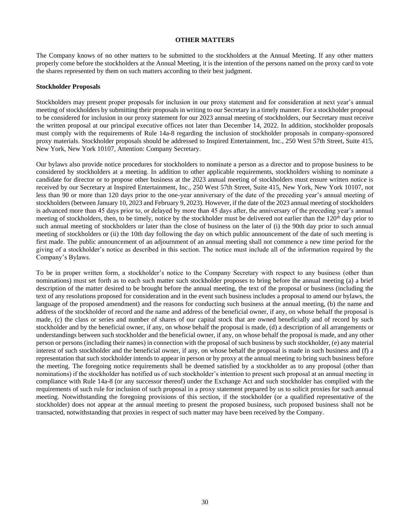### **OTHER MATTERS**

The Company knows of no other matters to be submitted to the stockholders at the Annual Meeting. If any other matters properly come before the stockholders at the Annual Meeting, it is the intention of the persons named on the proxy card to vote the shares represented by them on such matters according to their best judgment.

#### **Stockholder Proposals**

Stockholders may present proper proposals for inclusion in our proxy statement and for consideration at next year's annual meeting of stockholders by submitting their proposals in writing to our Secretary in a timely manner. For a stockholder proposal to be considered for inclusion in our proxy statement for our 2023 annual meeting of stockholders, our Secretary must receive the written proposal at our principal executive offices not later than December 14, 2022. In addition, stockholder proposals must comply with the requirements of Rule 14a-8 regarding the inclusion of stockholder proposals in company-sponsored proxy materials. Stockholder proposals should be addressed to Inspired Entertainment, Inc., 250 West 57th Street, Suite 415, New York, New York 10107, Attention: Company Secretary.

Our bylaws also provide notice procedures for stockholders to nominate a person as a director and to propose business to be considered by stockholders at a meeting. In addition to other applicable requirements, stockholders wishing to nominate a candidate for director or to propose other business at the 2023 annual meeting of stockholders must ensure written notice is received by our Secretary at Inspired Entertainment, Inc., 250 West 57th Street, Suite 415, New York, New York 10107, not less than 90 or more than 120 days prior to the one-year anniversary of the date of the preceding year's annual meeting of stockholders (between January 10, 2023 and February 9, 2023). However, if the date of the 2023 annual meeting of stockholders is advanced more than 45 days prior to, or delayed by more than 45 days after, the anniversary of the preceding year's annual meeting of stockholders, then, to be timely, notice by the stockholder must be delivered not earlier than the  $120<sup>th</sup>$  day prior to such annual meeting of stockholders or later than the close of business on the later of (i) the 90th day prior to such annual meeting of stockholders or (ii) the 10th day following the day on which public announcement of the date of such meeting is first made. The public announcement of an adjournment of an annual meeting shall not commence a new time period for the giving of a stockholder's notice as described in this section. The notice must include all of the information required by the Company's Bylaws.

To be in proper written form, a stockholder's notice to the Company Secretary with respect to any business (other than nominations) must set forth as to each such matter such stockholder proposes to bring before the annual meeting (a) a brief description of the matter desired to be brought before the annual meeting, the text of the proposal or business (including the text of any resolutions proposed for consideration and in the event such business includes a proposal to amend our bylaws, the language of the proposed amendment) and the reasons for conducting such business at the annual meeting, (b) the name and address of the stockholder of record and the name and address of the beneficial owner, if any, on whose behalf the proposal is made, (c) the class or series and number of shares of our capital stock that are owned beneficially and of record by such stockholder and by the beneficial owner, if any, on whose behalf the proposal is made, (d) a description of all arrangements or understandings between such stockholder and the beneficial owner, if any, on whose behalf the proposal is made, and any other person or persons (including their names) in connection with the proposal of such business by such stockholder, (e) any material interest of such stockholder and the beneficial owner, if any, on whose behalf the proposal is made in such business and (f) a representation that such stockholder intends to appear in person or by proxy at the annual meeting to bring such business before the meeting. The foregoing notice requirements shall be deemed satisfied by a stockholder as to any proposal (other than nominations) if the stockholder has notified us of such stockholder's intention to present such proposal at an annual meeting in compliance with Rule 14a-8 (or any successor thereof) under the Exchange Act and such stockholder has complied with the requirements of such rule for inclusion of such proposal in a proxy statement prepared by us to solicit proxies for such annual meeting. Notwithstanding the foregoing provisions of this section, if the stockholder (or a qualified representative of the stockholder) does not appear at the annual meeting to present the proposed business, such proposed business shall not be transacted, notwithstanding that proxies in respect of such matter may have been received by the Company.